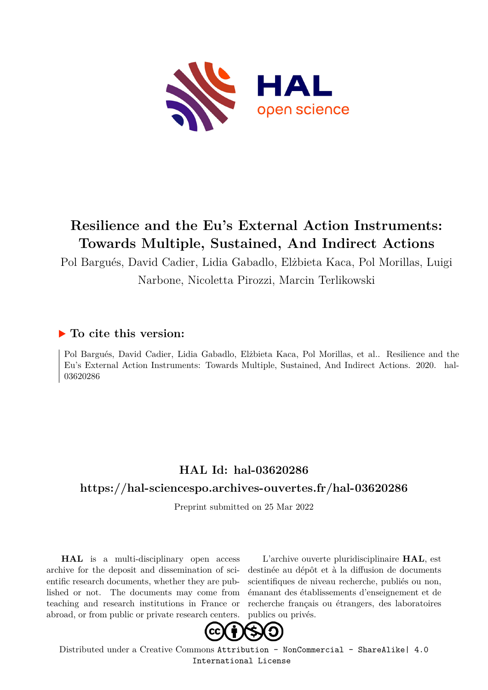

# **Resilience and the Eu's External Action Instruments: Towards Multiple, Sustained, And Indirect Actions**

Pol Bargués, David Cadier, Lidia Gabadlo, Elżbieta Kaca, Pol Morillas, Luigi Narbone, Nicoletta Pirozzi, Marcin Terlikowski

#### **To cite this version:**

Pol Bargués, David Cadier, Lidia Gabadlo, Elżbieta Kaca, Pol Morillas, et al.. Resilience and the Eu's External Action Instruments: Towards Multiple, Sustained, And Indirect Actions. 2020. hal-03620286

#### **HAL Id: hal-03620286**

#### **<https://hal-sciencespo.archives-ouvertes.fr/hal-03620286>**

Preprint submitted on 25 Mar 2022

**HAL** is a multi-disciplinary open access archive for the deposit and dissemination of scientific research documents, whether they are published or not. The documents may come from teaching and research institutions in France or abroad, or from public or private research centers.

L'archive ouverte pluridisciplinaire **HAL**, est destinée au dépôt et à la diffusion de documents scientifiques de niveau recherche, publiés ou non, émanant des établissements d'enseignement et de recherche français ou étrangers, des laboratoires publics ou privés.



Distributed under a Creative Commons [Attribution - NonCommercial - ShareAlike| 4.0](http://creativecommons.org/licenses/by-nc-sa/4.0/) [International License](http://creativecommons.org/licenses/by-nc-sa/4.0/)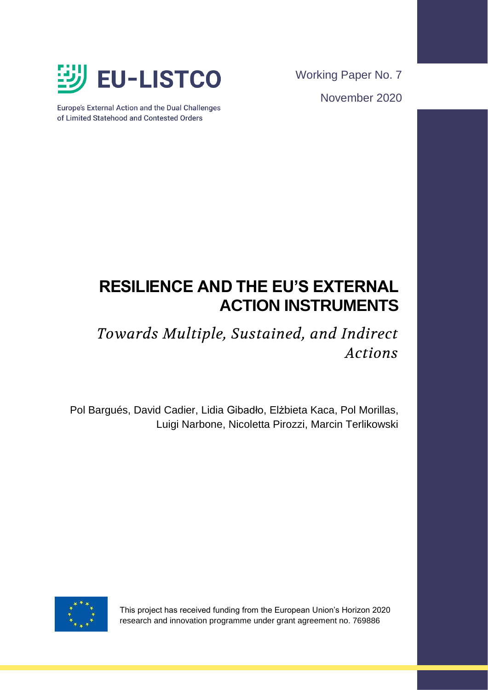

Europe's External Action and the Dual Challenges of Limited Statehood and Contested Orders

Working Paper No. 7 November 2020

# **RESILIENCE AND THE EU'S EXTERNAL ACTION INSTRUMENTS**

# *Towards Multiple, Sustained, and Indirect Actions*

Pol Bargués, David Cadier, Lidia Gibadło, Elżbieta Kaca, Pol Morillas, Luigi Narbone, Nicoletta Pirozzi, Marcin Terlikowski



This project has received funding from the European Union's Horizon 2020 research and innovation programme under grant agreement no. 769886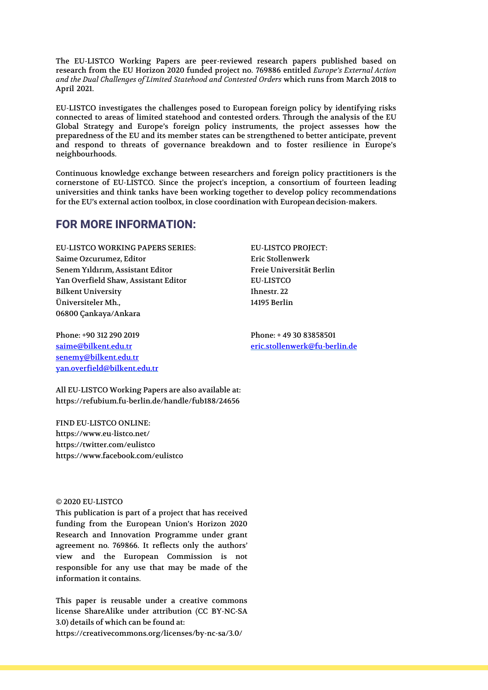The EU-LISTCO Working Papers are peer-reviewed research papers published based on research from the EU Horizon 2020 funded project no. 769886 entitled *Europe's External Action and the Dual Challenges of Limited Statehood and Contested Orders* which runs from March 2018 to April 2021.

EU-LISTCO investigates the challenges posed to European foreign policy by identifying risks connected to areas of limited statehood and contested orders. Through the analysis of the EU Global Strategy and Europe's foreign policy instruments, the project assesses how the preparedness of the EU and its member states can be strengthened to better anticipate, prevent and respond to threats of governance breakdown and to foster resilience in Europe's neighbourhoods.

Continuous knowledge exchange between researchers and foreign policy practitioners is the cornerstone of EU-LISTCO. Since the project's inception, a consortium of fourteen leading universities and think tanks have been working together to develop policy recommendations for the EU's external action toolbox, in close coordination with Europeandecision-makers.

#### **FOR MORE INFORMATION:**

EU-LISTCO WORKING PAPERS SERIES: EU-LISTCO PROJECT: Saime Ozcurumez, Editor **Example 2018** Eric Stollenwerk Senem Yıldırım, Assistant Editor Freie Universität Berlin Yan Overfield Shaw, Assistant Editor EU-LISTCO Bilkent University **Ihnestr. 22** Üniversiteler Mh., 14195 Berlin 06800 Çankaya/Ankara

Phone: +90 312 290 2019 Phone: +49 30 83858501 [senemy@bilkent.edu.tr](mailto:senemy@bilkent.edu.tr) [yan.overfield@bilkent.edu.tr](mailto:yan.overfield@bilkent.edu.tr)

All EU-LISTCO Working Papers are also available at: https://refubium.fu-berlin.de/handle/fub188/24656

FIND EU-LISTCO ONLINE: https://www.eu-listco.net/ https://twitter.com/eulistco https://www.facebook.com/eulistco

#### © 2020 EU-LISTCO

This publication is part of a project that has received funding from the European Union's Horizon 2020 Research and Innovation Programme under grant agreement no. 769866. It reflects only the authors' view and the European Commission is not responsible for any use that may be made of the information it contains.

This paper is reusable under a creative commons license ShareAlike under attribution (CC BY-NC-SA 3.0) details of which can be found at: https://creativecommons.org/licenses/by-nc-sa/3.0/

[saime@bilkent.edu.tr](mailto:saime@bilkent.edu.tr) [eric.stollenwerk@fu-berlin.de](mailto:eric.stollenwerk@fu-berlin.de)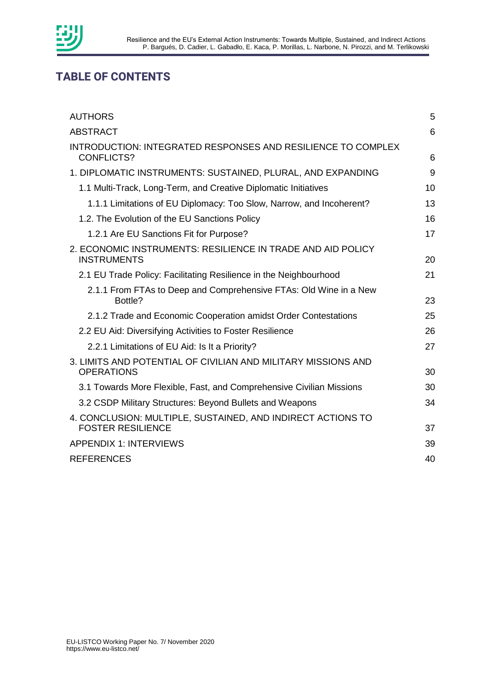

# **TABLE OF CONTENTS**

| <b>AUTHORS</b>                                                                           | 5  |
|------------------------------------------------------------------------------------------|----|
| <b>ABSTRACT</b>                                                                          | 6  |
| <b>INTRODUCTION: INTEGRATED RESPONSES AND RESILIENCE TO COMPLEX</b><br><b>CONFLICTS?</b> | 6  |
| 1. DIPLOMATIC INSTRUMENTS: SUSTAINED, PLURAL, AND EXPANDING                              | 9  |
| 1.1 Multi-Track, Long-Term, and Creative Diplomatic Initiatives                          | 10 |
| 1.1.1 Limitations of EU Diplomacy: Too Slow, Narrow, and Incoherent?                     | 13 |
| 1.2. The Evolution of the EU Sanctions Policy                                            | 16 |
| 1.2.1 Are EU Sanctions Fit for Purpose?                                                  | 17 |
| 2. ECONOMIC INSTRUMENTS: RESILIENCE IN TRADE AND AID POLICY<br><b>INSTRUMENTS</b>        | 20 |
| 2.1 EU Trade Policy: Facilitating Resilience in the Neighbourhood                        | 21 |
| 2.1.1 From FTAs to Deep and Comprehensive FTAs: Old Wine in a New<br>Bottle?             | 23 |
| 2.1.2 Trade and Economic Cooperation amidst Order Contestations                          | 25 |
| 2.2 EU Aid: Diversifying Activities to Foster Resilience                                 | 26 |
| 2.2.1 Limitations of EU Aid: Is It a Priority?                                           | 27 |
| 3. LIMITS AND POTENTIAL OF CIVILIAN AND MILITARY MISSIONS AND<br><b>OPERATIONS</b>       | 30 |
| 3.1 Towards More Flexible, Fast, and Comprehensive Civilian Missions                     | 30 |
| 3.2 CSDP Military Structures: Beyond Bullets and Weapons                                 | 34 |
| 4. CONCLUSION: MULTIPLE, SUSTAINED, AND INDIRECT ACTIONS TO<br><b>FOSTER RESILIENCE</b>  | 37 |
| <b>APPENDIX 1: INTERVIEWS</b>                                                            | 39 |
| <b>REFERENCES</b>                                                                        | 40 |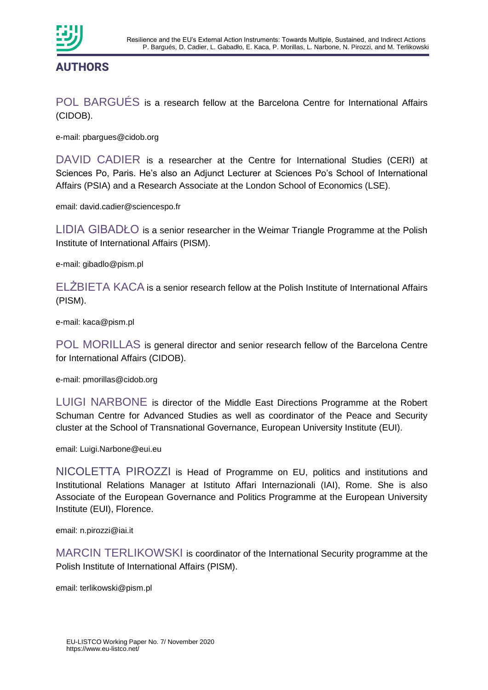

POL BARGUÉS is a research fellow at the Barcelona Centre for International Affairs (CIDOB).

e-mail: pbargues@cidob.org

DAVID CADIER is a researcher at the Centre for International Studies (CERI) at Sciences Po, Paris. He's also an Adjunct Lecturer at Sciences Po's School of International Affairs (PSIA) and a Research Associate at the London School of Economics (LSE).

email: david.cadier@sciencespo.fr

LIDIA GIBADŁO is a senior researcher in the Weimar Triangle Programme at the Polish Institute of International Affairs (PISM).

e-mail: gibadlo@pism.pl

ELŻBIETA KACA is a senior research fellow at the Polish Institute of International Affairs (PISM).

e-mail: kaca@pism.pl

POL MORILLAS is general director and senior research fellow of the Barcelona Centre for International Affairs (CIDOB).

e-mail: pmorillas@cidob.org

LUIGI NARBONE is director of the Middle East Directions Programme at the Robert Schuman Centre for Advanced Studies as well as coordinator of the Peace and Security cluster at the School of Transnational Governance, European University Institute (EUI).

email: Luigi.Narbone@eui.eu

NICOLETTA PIROZZI is Head of Programme on EU, politics and institutions and Institutional Relations Manager at Istituto Affari Internazionali (IAI), Rome. She is also Associate of the European Governance and Politics Programme at the European University Institute (EUI), Florence.

email: n.pirozzi@iai.it

MARCIN TERLIKOWSKI is coordinator of the International Security programme at the Polish Institute of International Affairs (PISM).

email: terlikowski@pism.pl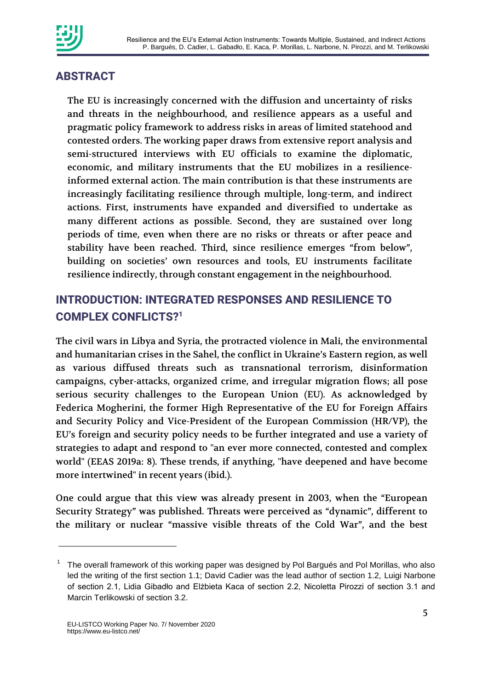

# **ABSTRACT**

The EU is increasingly concerned with the diffusion and uncertainty of risks and threats in the neighbourhood, and resilience appears as a useful and pragmatic policy framework to address risks in areas of limited statehood and contested orders. The working paper draws from extensive report analysis and semi-structured interviews with EU officials to examine the diplomatic, economic, and military instruments that the EU mobilizes in a resilienceinformed external action. The main contribution is that these instruments are increasingly facilitating resilience through multiple, long-term, and indirect actions. First, instruments have expanded and diversified to undertake as many different actions as possible. Second, they are sustained over long periods of time, even when there are no risks or threats or after peace and stability have been reached. Third, since resilience emerges "from below", building on societies' own resources and tools, EU instruments facilitate resilience indirectly, through constant engagement in the neighbourhood.

# **INTRODUCTION: INTEGRATED RESPONSES AND RESILIENCE TO COMPLEX CONFLICTS?<sup>1</sup>**

The civil wars in Libya and Syria, the protracted violence in Mali, the environmental and humanitarian crises in the Sahel, the conflict in Ukraine's Eastern region, as well as various diffused threats such as transnational terrorism, disinformation campaigns, cyber-attacks, organized crime, and irregular migration flows; all pose serious security challenges to the European Union (EU). As acknowledged by Federica Mogherini, the former High Representative of the EU for Foreign Affairs and Security Policy and Vice-President of the European Commission (HR/VP), the EU's foreign and security policy needs to be further integrated and use a variety of strategies to adapt and respond to "an ever more connected, contested and complex world" (EEAS 2019a: 8). These trends, if anything, "have deepened and have become more intertwined" in recent years (ibid.).

One could argue that this view was already present in 2003, when the "European Security Strategy" was published. Threats were perceived as "dynamic", different to the military or nuclear "massive visible threats of the Cold War", and the best

-

<sup>1</sup> The overall framework of this working paper was designed by Pol Bargués and Pol Morillas, who also led the writing of the first section 1.1; David Cadier was the lead author of section 1.2, Luigi Narbone of section 2.1, Lidia Gibadło and Elżbieta Kaca of section 2.2, Nicoletta Pirozzi of section 3.1 and Marcin Terlikowski of section 3.2.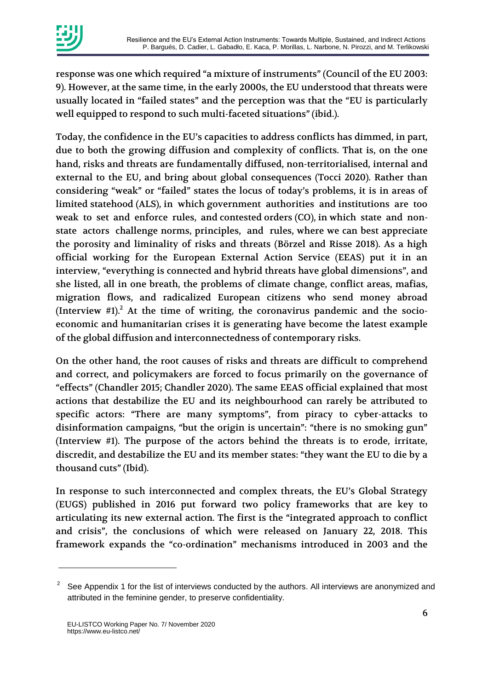response was one which required "a mixture of instruments" (Council of the EU 2003: 9). However, at the same time, in the early 2000s, the EU understood that threats were usually located in "failed states" and the perception was that the "EU is particularly well equipped to respond to such multi-faceted situations" (ibid.).

Today, the confidence in the EU's capacities to address conflicts has dimmed, in part, due to both the growing diffusion and complexity of conflicts. That is, on the one hand, risks and threats are fundamentally diffused, non-territorialised, internal and external to the EU, and bring about global consequences (Tocci 2020). Rather than considering "weak" or "failed" states the locus of today's problems, it is in areas of limited statehood (ALS), in which government authorities and institutions are too weak to set and enforce rules, and contested orders (CO), in which state and nonstate actors challenge norms, principles, and rules, where we can best appreciate the porosity and liminality of risks and threats (Börzel and Risse 2018). As a high official working for the European External Action Service (EEAS) put it in an interview, "everything is connected and hybrid threats have global dimensions", and she listed, all in one breath, the problems of climate change, conflict areas, mafias, migration flows, and radicalized European citizens who send money abroad (Interview  $#1$ ).<sup>2</sup> At the time of writing, the coronavirus pandemic and the socioeconomic and humanitarian crises it is generating have become the latest example of the global diffusion and interconnectedness of contemporary risks.

On the other hand, the root causes of risks and threats are difficult to comprehend and correct, and policymakers are forced to focus primarily on the governance of "effects" (Chandler 2015; Chandler 2020). The same EEAS official explained that most actions that destabilize the EU and its neighbourhood can rarely be attributed to specific actors: "There are many symptoms", from piracy to cyber-attacks to disinformation campaigns, "but the origin is uncertain": "there is no smoking gun" (Interview #1). The purpose of the actors behind the threats is to erode, irritate, discredit, and destabilize the EU and its member states: "they want the EU to die by a thousand cuts" (Ibid).

In response to such interconnected and complex threats, the EU's Global Strategy (EUGS) published in 2016 put forward two policy frameworks that are key to articulating its new external action. The first is the "integrated approach to conflict and crisis", the conclusions of which were released on January 22, 2018. This framework expands the "co-ordination" mechanisms introduced in 2003 and the

1

 $2^2$  See Appendix 1 for the list of interviews conducted by the authors. All interviews are anonymized and attributed in the feminine gender, to preserve confidentiality.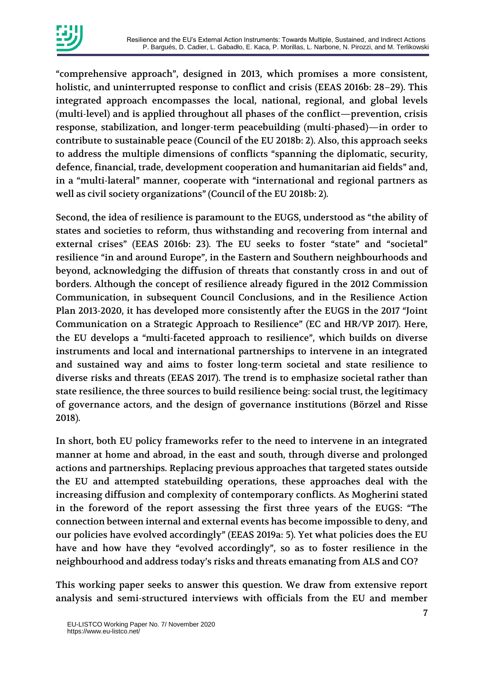

"comprehensive approach", designed in 2013, which promises a more consistent, holistic, and uninterrupted response to conflict and crisis (EEAS 2016b: 28–29). This integrated approach encompasses the local, national, regional, and global levels (multi-level) and is applied throughout all phases of the conflict—prevention, crisis response, stabilization, and longer-term peacebuilding (multi-phased)—in order to contribute to sustainable peace (Council of the EU 2018b: 2). Also, this approach seeks to address the multiple dimensions of conflicts "spanning the diplomatic, security, defence, financial, trade, development cooperation and humanitarian aid fields" and, in a "multi-lateral" manner, cooperate with "international and regional partners as well as civil society organizations" (Council of the EU 2018b: 2).

Second, the idea of resilience is paramount to the EUGS, understood as "the ability of states and societies to reform, thus withstanding and recovering from internal and external crises" (EEAS 2016b: 23). The EU seeks to foster "state" and "societal" resilience "in and around Europe", in the Eastern and Southern neighbourhoods and beyond, acknowledging the diffusion of threats that constantly cross in and out of borders. Although the concept of resilience already figured in the 2012 Commission Communication, in subsequent Council Conclusions, and in the Resilience Action Plan 2013-2020, it has developed more consistently after the EUGS in the 2017 "Joint Communication on a Strategic Approach to Resilience" (EC and HR/VP 2017). Here, the EU develops a "multi-faceted approach to resilience", which builds on diverse instruments and local and international partnerships to intervene in an integrated and sustained way and aims to foster long-term societal and state resilience to diverse risks and threats (EEAS 2017). The trend is to emphasize societal rather than state resilience, the three sources to build resilience being: social trust, the legitimacy of governance actors, and the design of governance institutions (Börzel and Risse 2018).

In short, both EU policy frameworks refer to the need to intervene in an integrated manner at home and abroad, in the east and south, through diverse and prolonged actions and partnerships. Replacing previous approaches that targeted states outside the EU and attempted statebuilding operations, these approaches deal with the increasing diffusion and complexity of contemporary conflicts. As Mogherini stated in the foreword of the report assessing the first three years of the EUGS: "The connection between internal and external events has become impossible to deny, and our policies have evolved accordingly" (EEAS 2019a: 5). Yet what policies does the EU have and how have they "evolved accordingly", so as to foster resilience in the neighbourhood and address today's risks and threats emanating from ALS and CO?

This working paper seeks to answer this question. We draw from extensive report analysis and semi-structured interviews with officials from the EU and member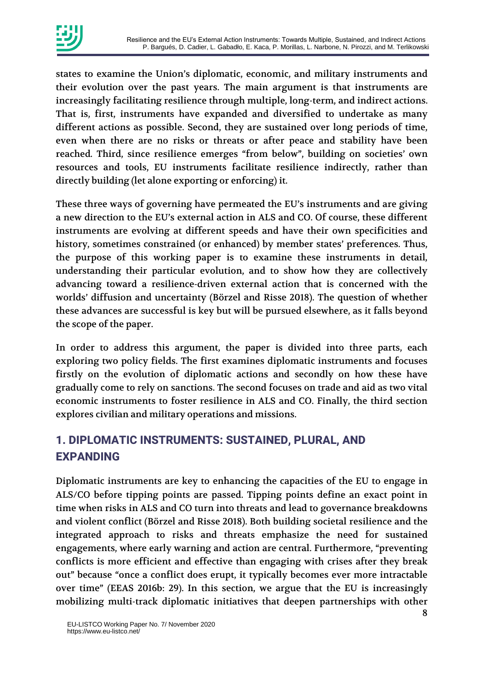

states to examine the Union's diplomatic, economic, and military instruments and their evolution over the past years. The main argument is that instruments are increasingly facilitating resilience through multiple, long-term, and indirect actions. That is, first, instruments have expanded and diversified to undertake as many different actions as possible. Second, they are sustained over long periods of time, even when there are no risks or threats or after peace and stability have been reached. Third, since resilience emerges "from below", building on societies' own resources and tools, EU instruments facilitate resilience indirectly, rather than directly building (let alone exporting or enforcing) it.

These three ways of governing have permeated the EU's instruments and are giving a new direction to the EU's external action in ALS and CO. Of course, these different instruments are evolving at different speeds and have their own specificities and history, sometimes constrained (or enhanced) by member states' preferences. Thus, the purpose of this working paper is to examine these instruments in detail, understanding their particular evolution, and to show how they are collectively advancing toward a resilience-driven external action that is concerned with the worlds' diffusion and uncertainty (Börzel and Risse 2018). The question of whether these advances are successful is key but will be pursued elsewhere, as it falls beyond the scope of the paper.

In order to address this argument, the paper is divided into three parts, each exploring two policy fields. The first examines diplomatic instruments and focuses firstly on the evolution of diplomatic actions and secondly on how these have gradually come to rely on sanctions. The second focuses on trade and aid as two vital economic instruments to foster resilience in ALS and CO. Finally, the third section explores civilian and military operations and missions.

# **1. DIPLOMATIC INSTRUMENTS: SUSTAINED, PLURAL, AND EXPANDING**

Diplomatic instruments are key to enhancing the capacities of the EU to engage in ALS/CO before tipping points are passed. Tipping points define an exact point in time when risks in ALS and CO turn into threats and lead to governance breakdowns and violent conflict (Börzel and Risse 2018). Both building societal resilience and the integrated approach to risks and threats emphasize the need for sustained engagements, where early warning and action are central. Furthermore, "preventing conflicts is more efficient and effective than engaging with crises after they break out" because "once a conflict does erupt, it typically becomes ever more intractable over time" (EEAS 2016b: 29). In this section, we argue that the EU is increasingly mobilizing multi-track diplomatic initiatives that deepen partnerships with other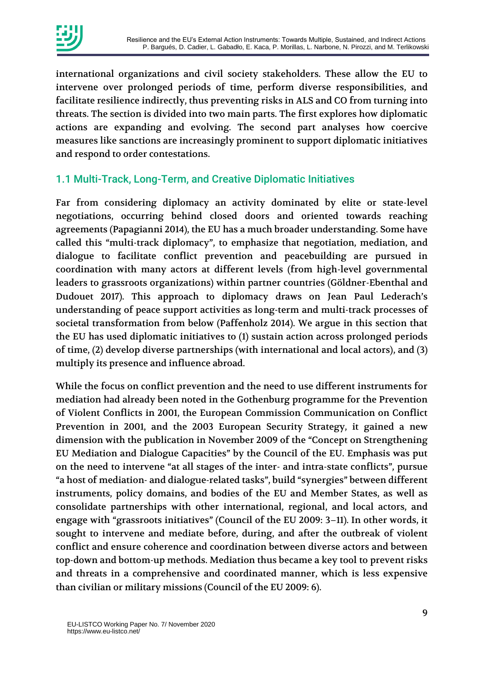

international organizations and civil society stakeholders. These allow the EU to intervene over prolonged periods of time, perform diverse responsibilities, and facilitate resilience indirectly, thus preventing risks in ALS and CO from turning into threats. The section is divided into two main parts. The first explores how diplomatic actions are expanding and evolving. The second part analyses how coercive measures like sanctions are increasingly prominent to support diplomatic initiatives and respond to order contestations.

#### 1.1 Multi-Track, Long-Term, and Creative Diplomatic Initiatives

Far from considering diplomacy an activity dominated by elite or state-level negotiations, occurring behind closed doors and oriented towards reaching agreements (Papagianni 2014), the EU has a much broader understanding. Some have called this "multi-track diplomacy", to emphasize that negotiation, mediation, and dialogue to facilitate conflict prevention and peacebuilding are pursued in coordination with many actors at different levels (from high-level governmental leaders to grassroots organizations) within partner countries (Göldner-Ebenthal and Dudouet 2017). This approach to diplomacy draws on Jean Paul Lederach's understanding of peace support activities as long-term and multi-track processes of societal transformation from below (Paffenholz 2014). We argue in this section that the EU has used diplomatic initiatives to (1) sustain action across prolonged periods of time, (2) develop diverse partnerships (with international and local actors), and (3) multiply its presence and influence abroad.

While the focus on conflict prevention and the need to use different instruments for mediation had already been noted in the Gothenburg programme for the Prevention of Violent Conflicts in 2001, the European Commission Communication on Conflict Prevention in 2001, and the 2003 European Security Strategy, it gained a new dimension with the publication in November 2009 of the "Concept on Strengthening EU Mediation and Dialogue Capacities" by the Council of the EU. Emphasis was put on the need to intervene "at all stages of the inter- and intra-state conflicts", pursue "a host of mediation- and dialogue-related tasks", build "synergies" between different instruments, policy domains, and bodies of the EU and Member States, as well as consolidate partnerships with other international, regional, and local actors, and engage with "grassroots initiatives" (Council of the EU 2009: 3–11). In other words, it sought to intervene and mediate before, during, and after the outbreak of violent conflict and ensure coherence and coordination between diverse actors and between top-down and bottom-up methods. Mediation thus became a key tool to prevent risks and threats in a comprehensive and coordinated manner, which is less expensive than civilian or military missions (Council of the EU 2009: 6).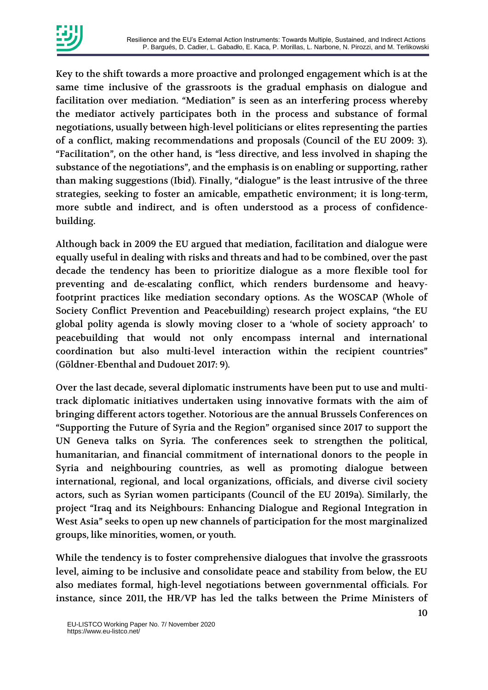

Key to the shift towards a more proactive and prolonged engagement which is at the same time inclusive of the grassroots is the gradual emphasis on dialogue and facilitation over mediation. "Mediation" is seen as an interfering process whereby the mediator actively participates both in the process and substance of formal negotiations, usually between high-level politicians or elites representing the parties of a conflict, making recommendations and proposals (Council of the EU 2009: 3). "Facilitation", on the other hand, is "less directive, and less involved in shaping the substance of the negotiations", and the emphasis is on enabling or supporting, rather than making suggestions (Ibid). Finally, "dialogue" is the least intrusive of the three strategies, seeking to foster an amicable, empathetic environment; it is long-term, more subtle and indirect, and is often understood as a process of confidencebuilding.

Although back in 2009 the EU argued that mediation, facilitation and dialogue were equally useful in dealing with risks and threats and had to be combined, over the past decade the tendency has been to prioritize dialogue as a more flexible tool for preventing and de-escalating conflict, which renders burdensome and heavyfootprint practices like mediation secondary options. As the WOSCAP (Whole of Society Conflict Prevention and Peacebuilding) research project explains, "the EU global polity agenda is slowly moving closer to a 'whole of society approach' to peacebuilding that would not only encompass internal and international coordination but also multi-level interaction within the recipient countries" (Göldner-Ebenthal and Dudouet 2017: 9).

Over the last decade, several diplomatic instruments have been put to use and multitrack diplomatic initiatives undertaken using innovative formats with the aim of bringing different actors together. Notorious are the annual Brussels Conferences on "Supporting the Future of Syria and the Region" organised since 2017 to support the UN Geneva talks on Syria. The conferences seek to strengthen the political, humanitarian, and financial commitment of international donors to the people in Syria and neighbouring countries, as well as promoting dialogue between international, regional, and local organizations, officials, and diverse civil society actors, such as Syrian women participants (Council of the EU 2019a). Similarly, the project "Iraq and its Neighbours: Enhancing Dialogue and Regional Integration in West Asia" seeks to open up new channels of participation for the most marginalized groups, like minorities, women, or youth.

While the tendency is to foster comprehensive dialogues that involve the grassroots level, aiming to be inclusive and consolidate peace and stability from below, the EU also mediates formal, high-level negotiations between governmental officials. For instance, since 2011, the HR/VP has led the talks between the Prime Ministers of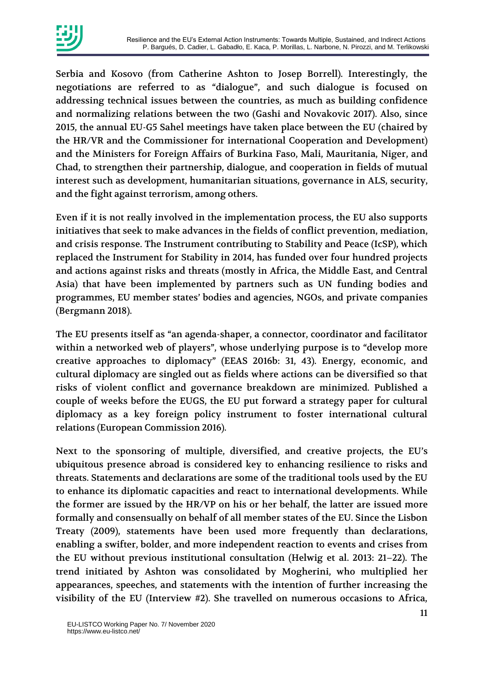

Serbia and Kosovo (from Catherine Ashton to Josep Borrell). Interestingly, the negotiations are referred to as "dialogue", and such dialogue is focused on addressing technical issues between the countries, as much as building confidence and normalizing relations between the two (Gashi and Novakovic 2017). Also, since 2015, the annual EU-G5 Sahel meetings have taken place between the EU (chaired by the HR/VR and the Commissioner for international Cooperation and Development) and the Ministers for Foreign Affairs of Burkina Faso, Mali, Mauritania, Niger, and Chad, to strengthen their partnership, dialogue, and cooperation in fields of mutual interest such as development, humanitarian situations, governance in ALS, security, and the fight against terrorism, among others.

Even if it is not really involved in the implementation process, the EU also supports initiatives that seek to make advances in the fields of conflict prevention, mediation, and crisis response. The Instrument contributing to Stability and Peace (IcSP), which replaced the Instrument for Stability in 2014, has funded over four hundred projects and actions against risks and threats (mostly in Africa, the Middle East, and Central Asia) that have been implemented by partners such as UN funding bodies and programmes, EU member states' bodies and agencies, NGOs, and private companies (Bergmann 2018).

The EU presents itself as "an agenda-shaper, a connector, coordinator and facilitator within a networked web of players", whose underlying purpose is to "develop more creative approaches to diplomacy" (EEAS 2016b: 31, 43). Energy, economic, and cultural diplomacy are singled out as fields where actions can be diversified so that risks of violent conflict and governance breakdown are minimized. Published a couple of weeks before the EUGS, the EU put forward a strategy paper for cultural diplomacy as a key foreign policy instrument to foster international cultural relations (European Commission 2016).

Next to the sponsoring of multiple, diversified, and creative projects, the EU's ubiquitous presence abroad is considered key to enhancing resilience to risks and threats. Statements and declarations are some of the traditional tools used by the EU to enhance its diplomatic capacities and react to international developments. While the former are issued by the HR/VP on his or her behalf, the latter are issued more formally and consensually on behalf of all member states of the EU. Since the Lisbon Treaty (2009), statements have been used more frequently than declarations, enabling a swifter, bolder, and more independent reaction to events and crises from the EU without previous institutional consultation (Helwig et al. 2013: 21–22). The trend initiated by Ashton was consolidated by Mogherini, who multiplied her appearances, speeches, and statements with the intention of further increasing the visibility of the EU (Interview #2). She travelled on numerous occasions to Africa,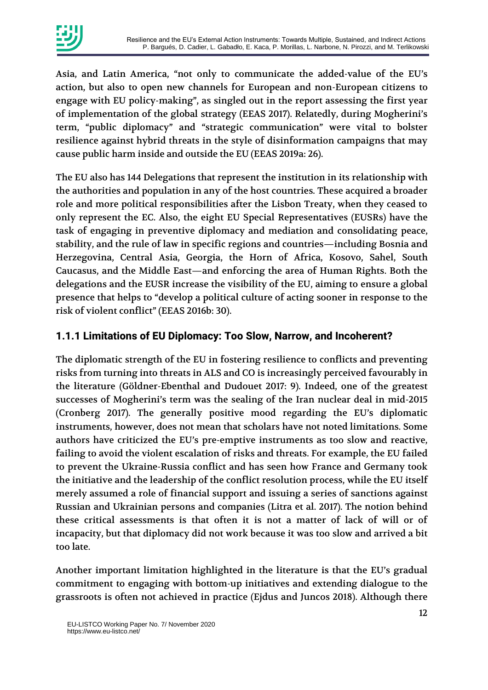

Asia, and Latin America, "not only to communicate the added-value of the EU's action, but also to open new channels for European and non-European citizens to engage with EU policy-making", as singled out in the report assessing the first year of implementation of the global strategy (EEAS 2017). Relatedly, during Mogherini's term, "public diplomacy" and "strategic communication" were vital to bolster resilience against hybrid threats in the style of disinformation campaigns that may cause public harm inside and outside the EU (EEAS 2019a: 26).

The EU also has 144 Delegations that represent the institution in its relationship with the authorities and population in any of the host countries. These acquired a broader role and more political responsibilities after the Lisbon Treaty, when they ceased to only represent the EC. Also, the eight EU Special Representatives (EUSRs) have the task of engaging in preventive diplomacy and mediation and consolidating peace, stability, and the rule of law in specific regions and countries—including Bosnia and Herzegovina, Central Asia, Georgia, the Horn of Africa, Kosovo, Sahel, South Caucasus, and the Middle East—and enforcing the area of Human Rights. Both the delegations and the EUSR increase the visibility of the EU, aiming to ensure a global presence that helps to "develop a political culture of acting sooner in response to the risk of violent conflict" (EEAS 2016b: 30).

#### **1.1.1 Limitations of EU Diplomacy: Too Slow, Narrow, and Incoherent?**

The diplomatic strength of the EU in fostering resilience to conflicts and preventing risks from turning into threats in ALS and CO is increasingly perceived favourably in the literature (Göldner-Ebenthal and Dudouet 2017: 9). Indeed, one of the greatest successes of Mogherini's term was the sealing of the Iran nuclear deal in mid-2015 (Cronberg 2017). The generally positive mood regarding the EU's diplomatic instruments, however, does not mean that scholars have not noted limitations. Some authors have criticized the EU's pre-emptive instruments as too slow and reactive, failing to avoid the violent escalation of risks and threats. For example, the EU failed to prevent the Ukraine-Russia conflict and has seen how France and Germany took the initiative and the leadership of the conflict resolution process, while the EU itself merely assumed a role of financial support and issuing a series of sanctions against Russian and Ukrainian persons and companies (Litra et al. 2017). The notion behind these critical assessments is that often it is not a matter of lack of will or of incapacity, but that diplomacy did not work because it was too slow and arrived a bit too late.

Another important limitation highlighted in the literature is that the EU's gradual commitment to engaging with bottom-up initiatives and extending dialogue to the grassroots is often not achieved in practice (Ejdus and Juncos 2018). Although there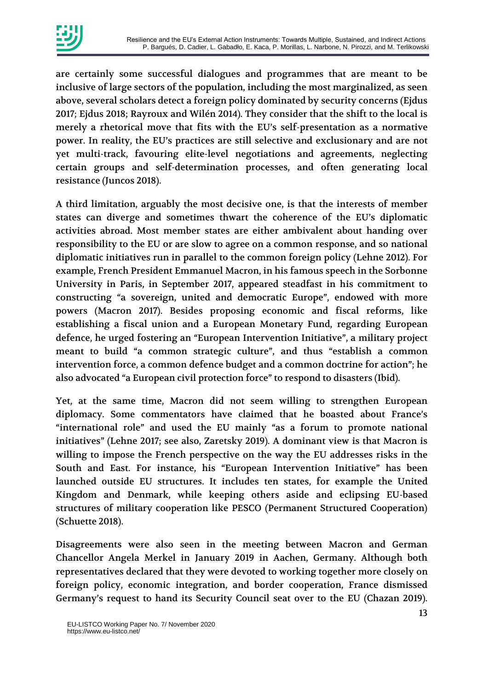

are certainly some successful dialogues and programmes that are meant to be inclusive of large sectors of the population, including the most marginalized, as seen above, several scholars detect a foreign policy dominated by security concerns (Ejdus 2017; Ejdus 2018; Rayroux and Wilén 2014). They consider that the shift to the local is merely a rhetorical move that fits with the EU's self-presentation as a normative power. In reality, the EU's practices are still selective and exclusionary and are not yet multi-track, favouring elite-level negotiations and agreements, neglecting certain groups and self-determination processes, and often generating local resistance (Juncos 2018).

A third limitation, arguably the most decisive one, is that the interests of member states can diverge and sometimes thwart the coherence of the EU's diplomatic activities abroad. Most member states are either ambivalent about handing over responsibility to the EU or are slow to agree on a common response, and so national diplomatic initiatives run in parallel to the common foreign policy (Lehne 2012). For example, French President Emmanuel Macron, in his famous speech in the Sorbonne University in Paris, in September 2017, appeared steadfast in his commitment to constructing "a sovereign, united and democratic Europe", endowed with more powers (Macron 2017). Besides proposing economic and fiscal reforms, like establishing a fiscal union and a European Monetary Fund, regarding European defence, he urged fostering an "European Intervention Initiative", a military project meant to build "a common strategic culture", and thus "establish a common intervention force, a common defence budget and a common doctrine for action"; he also advocated "a European civil protection force" to respond to disasters (Ibid).

Yet, at the same time, Macron did not seem willing to strengthen European diplomacy. Some commentators have claimed that he boasted about France's "international role" and used the EU mainly "as a forum to promote national initiatives" (Lehne 2017; see also, Zaretsky 2019). A dominant view is that Macron is willing to impose the French perspective on the way the EU addresses risks in the South and East. For instance, his "European Intervention Initiative" has been launched outside EU structures. It includes ten states, for example the United Kingdom and Denmark, while keeping others aside and eclipsing EU-based structures of military cooperation like PESCO (Permanent Structured Cooperation) (Schuette 2018).

Disagreements were also seen in the meeting between Macron and German Chancellor Angela Merkel in January 2019 in Aachen, Germany. Although both representatives declared that they were devoted to working together more closely on foreign policy, economic integration, and border cooperation, France dismissed Germany's request to hand its Security Council seat over to the EU (Chazan 2019).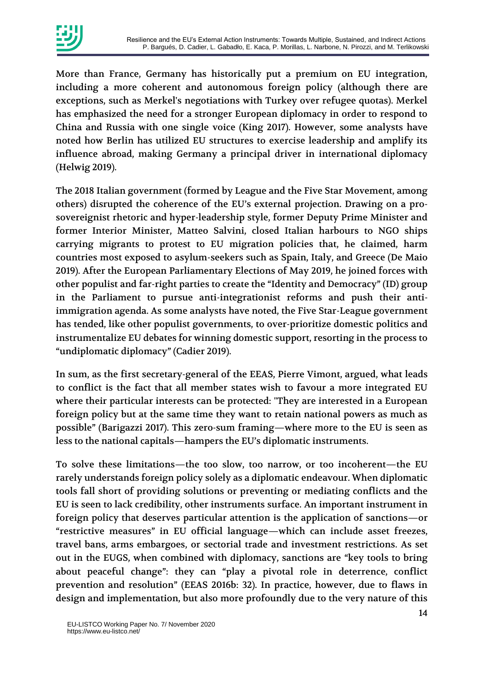

More than France, Germany has historically put a premium on EU integration, including a more coherent and autonomous foreign policy (although there are exceptions, such as Merkel's negotiations with Turkey over refugee quotas). Merkel has emphasized the need for a stronger European diplomacy in order to respond to China and Russia with one single voice (King 2017). However, some analysts have noted how Berlin has utilized EU structures to exercise leadership and amplify its influence abroad, making Germany a principal driver in international diplomacy (Helwig 2019).

The 2018 Italian government (formed by League and the Five Star Movement, among others) disrupted the coherence of the EU's external projection. Drawing on a prosovereignist rhetoric and hyper-leadership style, former Deputy Prime Minister and former Interior Minister, Matteo Salvini, closed Italian harbours to NGO ships carrying migrants to protest to EU migration policies that, he claimed, harm countries most exposed to asylum-seekers such as Spain, Italy, and Greece (De Maio 2019). After the European Parliamentary Elections of May 2019, he joined forces with other populist and far-right parties to create the "Identity and Democracy" (ID) group in the Parliament to pursue anti-integrationist reforms and push their antiimmigration agenda. As some analysts have noted, the Five Star-League government has tended, like other populist governments, to over-prioritize domestic politics and instrumentalize EU debates for winning domestic support, resorting in the process to "undiplomatic diplomacy" (Cadier 2019).

In sum, as the first secretary-general of the EEAS, Pierre Vimont, argued, what leads to conflict is the fact that all member states wish to favour a more integrated EU where their particular interests can be protected: "They are interested in a European foreign policy but at the same time they want to retain national powers as much as possible" (Barigazzi 2017). This zero-sum framing—where more to the EU is seen as less to the national capitals—hampers the EU's diplomatic instruments.

To solve these limitations—the too slow, too narrow, or too incoherent—the EU rarely understands foreign policy solely as a diplomatic endeavour. When diplomatic tools fall short of providing solutions or preventing or mediating conflicts and the EU is seen to lack credibility, other instruments surface. An important instrument in foreign policy that deserves particular attention is the application of sanctions—or "restrictive measures" in EU official language—which can include asset freezes, travel bans, arms embargoes, or sectorial trade and investment restrictions. As set out in the EUGS, when combined with diplomacy, sanctions are "key tools to bring about peaceful change": they can "play a pivotal role in deterrence, conflict prevention and resolution" (EEAS 2016b: 32). In practice, however, due to flaws in design and implementation, but also more profoundly due to the very nature of this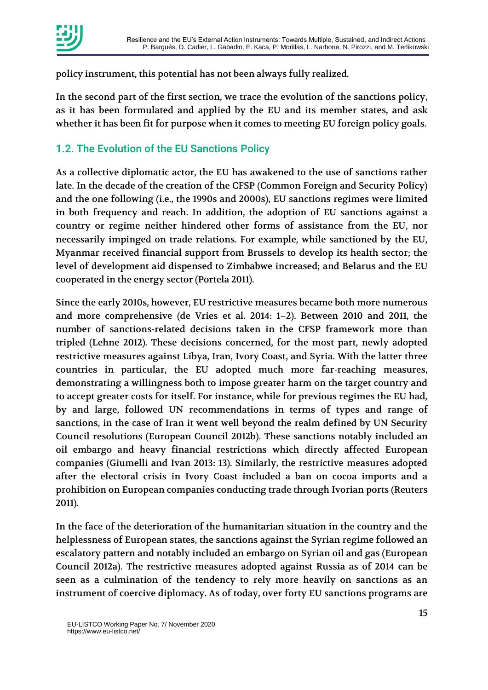

policy instrument, this potential has not been always fully realized.

In the second part of the first section, we trace the evolution of the sanctions policy, as it has been formulated and applied by the EU and its member states, and ask whether it has been fit for purpose when it comes to meeting EU foreign policy goals.

### 1.2. The Evolution of the EU Sanctions Policy

As a collective diplomatic actor, the EU has awakened to the use of sanctions rather late. In the decade of the creation of the CFSP (Common Foreign and Security Policy) and the one following (i.e., the 1990s and 2000s), EU sanctions regimes were limited in both frequency and reach. In addition, the adoption of EU sanctions against a country or regime neither hindered other forms of assistance from the EU, nor necessarily impinged on trade relations. For example, while sanctioned by the EU, Myanmar received financial support from Brussels to develop its health sector; the level of development aid dispensed to Zimbabwe increased; and Belarus and the EU cooperated in the energy sector (Portela 2011).

Since the early 2010s, however, EU restrictive measures became both more numerous and more comprehensive (de Vries et al. 2014: 1–2). Between 2010 and 2011, the number of sanctions-related decisions taken in the CFSP framework more than tripled (Lehne 2012). These decisions concerned, for the most part, newly adopted restrictive measures against Libya, Iran, Ivory Coast, and Syria. With the latter three countries in particular, the EU adopted much more far-reaching measures, demonstrating a willingness both to impose greater harm on the target country and to accept greater costs for itself. For instance, while for previous regimes the EU had, by and large, followed UN recommendations in terms of types and range of sanctions, in the case of Iran it went well beyond the realm defined by UN Security Council resolutions (European Council 2012b). These sanctions notably included an oil embargo and heavy financial restrictions which directly affected European companies (Giumelli and Ivan 2013: 13). Similarly, the restrictive measures adopted after the electoral crisis in Ivory Coast included a ban on cocoa imports and a prohibition on European companies conducting trade through Ivorian ports (Reuters 2011).

In the face of the deterioration of the humanitarian situation in the country and the helplessness of European states, the sanctions against the Syrian regime followed an escalatory pattern and notably included an embargo on Syrian oil and gas (European Council 2012a). The restrictive measures adopted against Russia as of 2014 can be seen as a culmination of the tendency to rely more heavily on sanctions as an instrument of coercive diplomacy. As of today, over forty EU sanctions programs are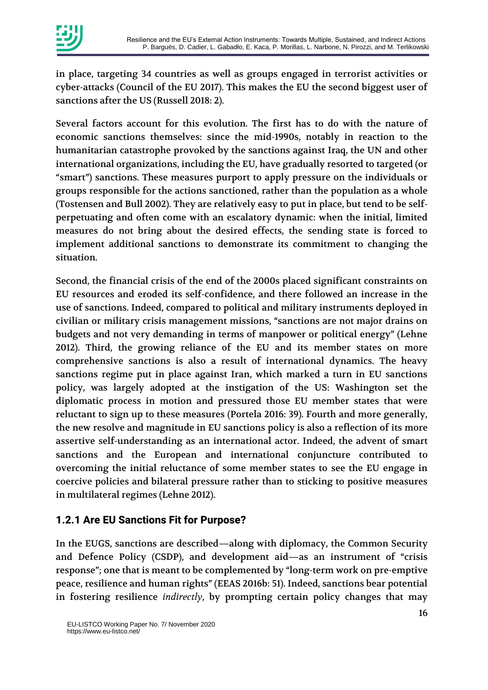

in place, targeting 34 countries as well as groups engaged in terrorist activities or cyber-attacks (Council of the EU 2017). This makes the EU the second biggest user of sanctions after the US (Russell 2018: 2).

Several factors account for this evolution. The first has to do with the nature of economic sanctions themselves: since the mid-1990s, notably in reaction to the humanitarian catastrophe provoked by the sanctions against Iraq, the UN and other international organizations, including the EU, have gradually resorted to targeted (or "smart") sanctions. These measures purport to apply pressure on the individuals or groups responsible for the actions sanctioned, rather than the population as a whole (Tostensen and Bull 2002). They are relatively easy to put in place, but tend to be selfperpetuating and often come with an escalatory dynamic: when the initial, limited measures do not bring about the desired effects, the sending state is forced to implement additional sanctions to demonstrate its commitment to changing the situation.

Second, the financial crisis of the end of the 2000s placed significant constraints on EU resources and eroded its self-confidence, and there followed an increase in the use of sanctions. Indeed, compared to political and military instruments deployed in civilian or military crisis management missions, "sanctions are not major drains on budgets and not very demanding in terms of manpower or political energy" (Lehne 2012). Third, the growing reliance of the EU and its member states on more comprehensive sanctions is also a result of international dynamics. The heavy sanctions regime put in place against Iran, which marked a turn in EU sanctions policy, was largely adopted at the instigation of the US: Washington set the diplomatic process in motion and pressured those EU member states that were reluctant to sign up to these measures (Portela 2016: 39). Fourth and more generally, the new resolve and magnitude in EU sanctions policy is also a reflection of its more assertive self-understanding as an international actor. Indeed, the advent of smart sanctions and the European and international conjuncture contributed to overcoming the initial reluctance of some member states to see the EU engage in coercive policies and bilateral pressure rather than to sticking to positive measures in multilateral regimes (Lehne 2012).

#### **1.2.1 Are EU Sanctions Fit for Purpose?**

In the EUGS, sanctions are described—along with diplomacy, the Common Security and Defence Policy (CSDP), and development aid—as an instrument of "crisis response"; one that is meant to be complemented by "long-term work on pre-emptive peace, resilience and human rights" (EEAS 2016b: 51). Indeed, sanctions bear potential in fostering resilience *indirectly*, by prompting certain policy changes that may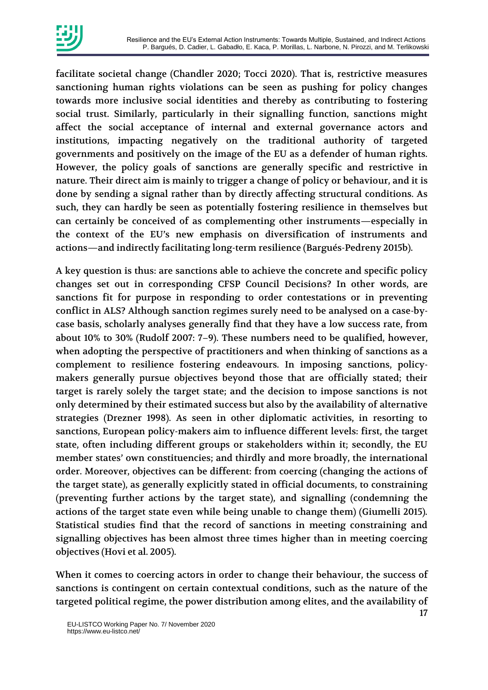

facilitate societal change (Chandler 2020; Tocci 2020). That is, restrictive measures sanctioning human rights violations can be seen as pushing for policy changes towards more inclusive social identities and thereby as contributing to fostering social trust. Similarly, particularly in their signalling function, sanctions might affect the social acceptance of internal and external governance actors and institutions, impacting negatively on the traditional authority of targeted governments and positively on the image of the EU as a defender of human rights. However, the policy goals of sanctions are generally specific and restrictive in nature. Their direct aim is mainly to trigger a change of policy or behaviour, and it is done by sending a signal rather than by directly affecting structural conditions. As such, they can hardly be seen as potentially fostering resilience in themselves but can certainly be conceived of as complementing other instruments—especially in the context of the EU's new emphasis on diversification of instruments and actions—and indirectly facilitating long-term resilience (Bargués-Pedreny 2015b).

A key question is thus: are sanctions able to achieve the concrete and specific policy changes set out in corresponding CFSP Council Decisions? In other words, are sanctions fit for purpose in responding to order contestations or in preventing conflict in ALS? Although sanction regimes surely need to be analysed on a case-bycase basis, scholarly analyses generally find that they have a low success rate, from about 10% to 30% (Rudolf 2007: 7–9). These numbers need to be qualified, however, when adopting the perspective of practitioners and when thinking of sanctions as a complement to resilience fostering endeavours. In imposing sanctions, policymakers generally pursue objectives beyond those that are officially stated; their target is rarely solely the target state; and the decision to impose sanctions is not only determined by their estimated success but also by the availability of alternative strategies (Drezner 1998). As seen in other diplomatic activities, in resorting to sanctions, European policy-makers aim to influence different levels: first, the target state, often including different groups or stakeholders within it; secondly, the EU member states' own constituencies; and thirdly and more broadly, the international order. Moreover, objectives can be different: from coercing (changing the actions of the target state), as generally explicitly stated in official documents, to constraining (preventing further actions by the target state), and signalling (condemning the actions of the target state even while being unable to change them) (Giumelli 2015). Statistical studies find that the record of sanctions in meeting constraining and signalling objectives has been almost three times higher than in meeting coercing objectives (Hovi et al. 2005).

When it comes to coercing actors in order to change their behaviour, the success of sanctions is contingent on certain contextual conditions, such as the nature of the targeted political regime, the power distribution among elites, and the availability of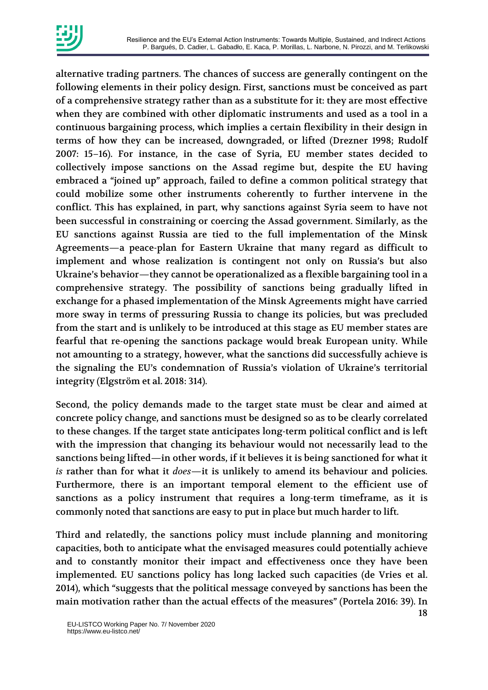

alternative trading partners. The chances of success are generally contingent on the following elements in their policy design. First, sanctions must be conceived as part of a comprehensive strategy rather than as a substitute for it: they are most effective when they are combined with other diplomatic instruments and used as a tool in a continuous bargaining process, which implies a certain flexibility in their design in terms of how they can be increased, downgraded, or lifted (Drezner 1998; Rudolf 2007: 15–16). For instance, in the case of Syria, EU member states decided to collectively impose sanctions on the Assad regime but, despite the EU having embraced a "joined up" approach, failed to define a common political strategy that could mobilize some other instruments coherently to further intervene in the conflict. This has explained, in part, why sanctions against Syria seem to have not been successful in constraining or coercing the Assad government. Similarly, as the EU sanctions against Russia are tied to the full implementation of the Minsk Agreements—a peace-plan for Eastern Ukraine that many regard as difficult to implement and whose realization is contingent not only on Russia's but also Ukraine's behavior—they cannot be operationalized as a flexible bargaining tool in a comprehensive strategy. The possibility of sanctions being gradually lifted in exchange for a phased implementation of the Minsk Agreements might have carried more sway in terms of pressuring Russia to change its policies, but was precluded from the start and is unlikely to be introduced at this stage as EU member states are fearful that re-opening the sanctions package would break European unity. While not amounting to a strategy, however, what the sanctions did successfully achieve is the signaling the EU's condemnation of Russia's violation of Ukraine's territorial integrity (Elgström et al. 2018: 314).

Second, the policy demands made to the target state must be clear and aimed at concrete policy change, and sanctions must be designed so as to be clearly correlated to these changes. If the target state anticipates long-term political conflict and is left with the impression that changing its behaviour would not necessarily lead to the sanctions being lifted—in other words, if it believes it is being sanctioned for what it *is* rather than for what it *does*—it is unlikely to amend its behaviour and policies. Furthermore, there is an important temporal element to the efficient use of sanctions as a policy instrument that requires a long-term timeframe, as it is commonly noted that sanctions are easy to put in place but much harder to lift.

Third and relatedly, the sanctions policy must include planning and monitoring capacities, both to anticipate what the envisaged measures could potentially achieve and to constantly monitor their impact and effectiveness once they have been implemented. EU sanctions policy has long lacked such capacities (de Vries et al. 2014), which "suggests that the political message conveyed by sanctions has been the main motivation rather than the actual effects of the measures" (Portela 2016: 39). In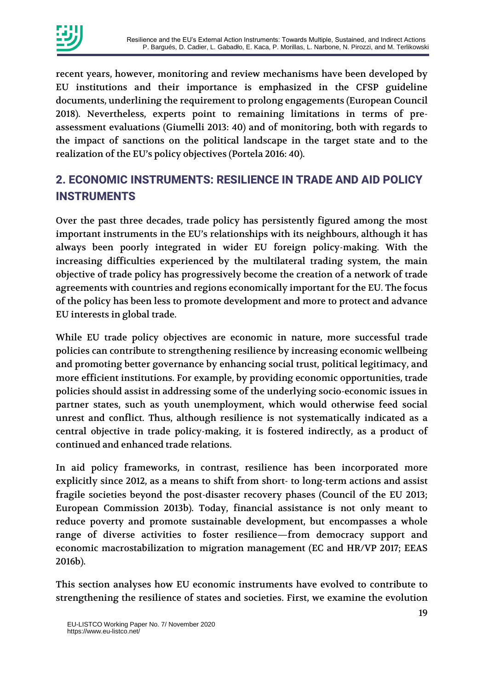

recent years, however, monitoring and review mechanisms have been developed by EU institutions and their importance is emphasized in the CFSP guideline documents, underlining the requirement to prolong engagements (European Council 2018). Nevertheless, experts point to remaining limitations in terms of preassessment evaluations (Giumelli 2013: 40) and of monitoring, both with regards to the impact of sanctions on the political landscape in the target state and to the realization of the EU's policy objectives (Portela 2016: 40).

# **2. ECONOMIC INSTRUMENTS: RESILIENCE IN TRADE AND AID POLICY INSTRUMENTS**

Over the past three decades, trade policy has persistently figured among the most important instruments in the EU's relationships with its neighbours, although it has always been poorly integrated in wider EU foreign policy-making. With the increasing difficulties experienced by the multilateral trading system, the main objective of trade policy has progressively become the creation of a network of trade agreements with countries and regions economically important for the EU. The focus of the policy has been less to promote development and more to protect and advance EU interests in global trade.

While EU trade policy objectives are economic in nature, more successful trade policies can contribute to strengthening resilience by increasing economic wellbeing and promoting better governance by enhancing social trust, political legitimacy, and more efficient institutions. For example, by providing economic opportunities, trade policies should assist in addressing some of the underlying socio-economic issues in partner states, such as youth unemployment, which would otherwise feed social unrest and conflict. Thus, although resilience is not systematically indicated as a central objective in trade policy-making, it is fostered indirectly, as a product of continued and enhanced trade relations.

In aid policy frameworks, in contrast, resilience has been incorporated more explicitly since 2012, as a means to shift from short- to long-term actions and assist fragile societies beyond the post-disaster recovery phases (Council of the EU 2013; European Commission 2013b). Today, financial assistance is not only meant to reduce poverty and promote sustainable development, but encompasses a whole range of diverse activities to foster resilience—from democracy support and economic macrostabilization to migration management (EC and HR/VP 2017; EEAS 2016b).

This section analyses how EU economic instruments have evolved to contribute to strengthening the resilience of states and societies. First, we examine the evolution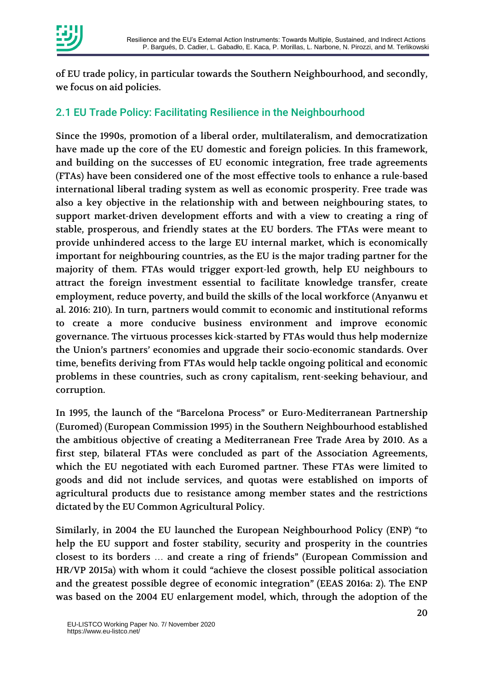

of EU trade policy, in particular towards the Southern Neighbourhood, and secondly, we focus on aid policies.

#### 2.1 EU Trade Policy: Facilitating Resilience in the Neighbourhood

Since the 1990s, promotion of a liberal order, multilateralism, and democratization have made up the core of the EU domestic and foreign policies. In this framework, and building on the successes of EU economic integration, free trade agreements (FTAs) have been considered one of the most effective tools to enhance a rule-based international liberal trading system as well as economic prosperity. Free trade was also a key objective in the relationship with and between neighbouring states, to support market-driven development efforts and with a view to creating a ring of stable, prosperous, and friendly states at the EU borders. The FTAs were meant to provide unhindered access to the large EU internal market, which is economically important for neighbouring countries, as the EU is the major trading partner for the majority of them. FTAs would trigger export-led growth, help EU neighbours to attract the foreign investment essential to facilitate knowledge transfer, create employment, reduce poverty, and build the skills of the local workforce (Anyanwu et al. 2016: 210). In turn, partners would commit to economic and institutional reforms to create a more conducive business environment and improve economic governance. The virtuous processes kick-started by FTAs would thus help modernize the Union's partners' economies and upgrade their socio-economic standards. Over time, benefits deriving from FTAs would help tackle ongoing political and economic problems in these countries, such as crony capitalism, rent-seeking behaviour, and corruption.

In 1995, the launch of the "Barcelona Process" or Euro-Mediterranean Partnership (Euromed) (European Commission 1995) in the Southern Neighbourhood established the ambitious objective of creating a Mediterranean Free Trade Area by 2010. As a first step, bilateral FTAs were concluded as part of the Association Agreements, which the EU negotiated with each Euromed partner. These FTAs were limited to goods and did not include services, and quotas were established on imports of agricultural products due to resistance among member states and the restrictions dictated by the EU Common Agricultural Policy.

Similarly, in 2004 the EU launched the European Neighbourhood Policy (ENP) "to help the EU support and foster stability, security and prosperity in the countries closest to its borders … and create a ring of friends" (European Commission and HR/VP 2015a) with whom it could "achieve the closest possible political association and the greatest possible degree of economic integration" (EEAS 2016a: 2). The ENP was based on the 2004 EU enlargement model, which, through the adoption of the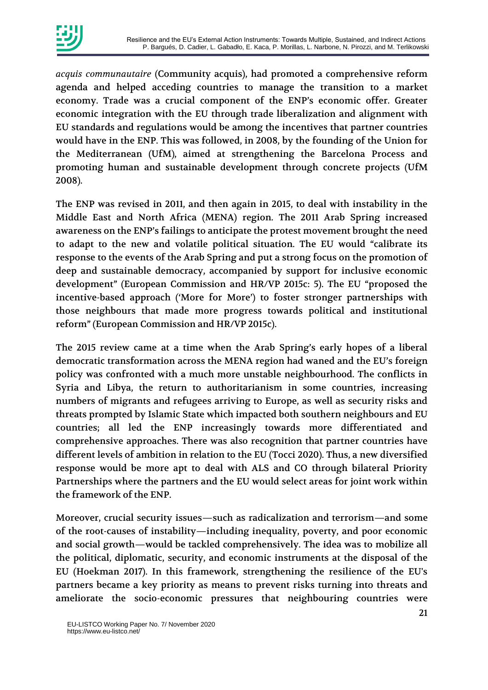

*acquis communautaire* (Community acquis), had promoted a comprehensive reform agenda and helped acceding countries to manage the transition to a market economy. Trade was a crucial component of the ENP's economic offer. Greater economic integration with the EU through trade liberalization and alignment with EU standards and regulations would be among the incentives that partner countries would have in the ENP. This was followed, in 2008, by the founding of the Union for the Mediterranean (UfM), aimed at strengthening the Barcelona Process and promoting human and sustainable development through concrete projects (UfM 2008).

The ENP was revised in 2011, and then again in 2015, to deal with instability in the Middle East and North Africa (MENA) region. The 2011 Arab Spring increased awareness on the ENP's failings to anticipate the protest movement brought the need to adapt to the new and volatile political situation. The EU would "calibrate its response to the events of the Arab Spring and put a strong focus on the promotion of deep and sustainable democracy, accompanied by support for inclusive economic development" (European Commission and HR/VP 2015c: 5). The EU "proposed the incentive-based approach ('More for More') to foster stronger partnerships with those neighbours that made more progress towards political and institutional reform" (European Commission and HR/VP 2015c).

The 2015 review came at a time when the Arab Spring's early hopes of a liberal democratic transformation across the MENA region had waned and the EU's foreign policy was confronted with a much more unstable neighbourhood. The conflicts in Syria and Libya, the return to authoritarianism in some countries, increasing numbers of migrants and refugees arriving to Europe, as well as security risks and threats prompted by Islamic State which impacted both southern neighbours and EU countries; all led the ENP increasingly towards more differentiated and comprehensive approaches. There was also recognition that partner countries have different levels of ambition in relation to the EU (Tocci 2020). Thus, a new diversified response would be more apt to deal with ALS and CO through bilateral Priority Partnerships where the partners and the EU would select areas for joint work within the framework of the ENP.

Moreover, crucial security issues—such as radicalization and terrorism—and some of the root-causes of instability—including inequality, poverty, and poor economic and social growth—would be tackled comprehensively. The idea was to mobilize all the political, diplomatic, security, and economic instruments at the disposal of the EU (Hoekman 2017). In this framework, strengthening the resilience of the EU's partners became a key priority as means to prevent risks turning into threats and ameliorate the socio-economic pressures that neighbouring countries were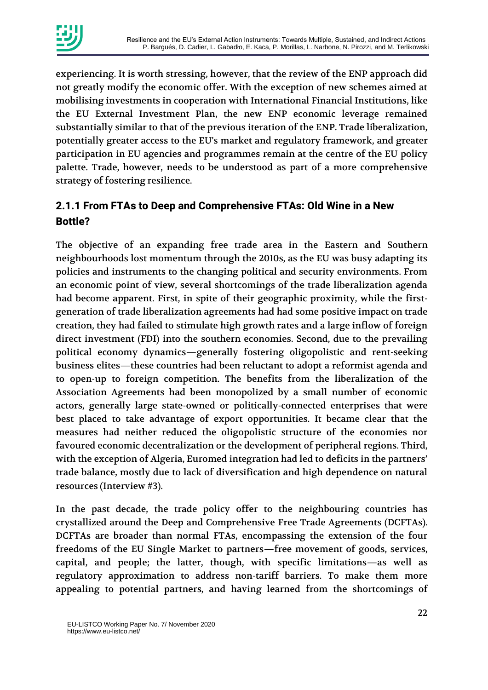

experiencing. It is worth stressing, however, that the review of the ENP approach did not greatly modify the economic offer. With the exception of new schemes aimed at mobilising investments in cooperation with International Financial Institutions, like the EU External Investment Plan, the new ENP economic leverage remained substantially similar to that of the previous iteration of the ENP. Trade liberalization, potentially greater access to the EU's market and regulatory framework, and greater participation in EU agencies and programmes remain at the centre of the EU policy palette. Trade, however, needs to be understood as part of a more comprehensive strategy of fostering resilience.

### **2.1.1 From FTAs to Deep and Comprehensive FTAs: Old Wine in a New Bottle?**

The objective of an expanding free trade area in the Eastern and Southern neighbourhoods lost momentum through the 2010s, as the EU was busy adapting its policies and instruments to the changing political and security environments. From an economic point of view, several shortcomings of the trade liberalization agenda had become apparent. First, in spite of their geographic proximity, while the firstgeneration of trade liberalization agreements had had some positive impact on trade creation, they had failed to stimulate high growth rates and a large inflow of foreign direct investment (FDI) into the southern economies. Second, due to the prevailing political economy dynamics—generally fostering oligopolistic and rent-seeking business elites—these countries had been reluctant to adopt a reformist agenda and to open-up to foreign competition. The benefits from the liberalization of the Association Agreements had been monopolized by a small number of economic actors, generally large state-owned or politically-connected enterprises that were best placed to take advantage of export opportunities. It became clear that the measures had neither reduced the oligopolistic structure of the economies nor favoured economic decentralization or the development of peripheral regions. Third, with the exception of Algeria, Euromed integration had led to deficits in the partners' trade balance, mostly due to lack of diversification and high dependence on natural resources (Interview #3).

In the past decade, the trade policy offer to the neighbouring countries has crystallized around the Deep and Comprehensive Free Trade Agreements (DCFTAs). DCFTAs are broader than normal FTAs, encompassing the extension of the four freedoms of the EU Single Market to partners—free movement of goods, services, capital, and people; the latter, though, with specific limitations—as well as regulatory approximation to address non-tariff barriers. To make them more appealing to potential partners, and having learned from the shortcomings of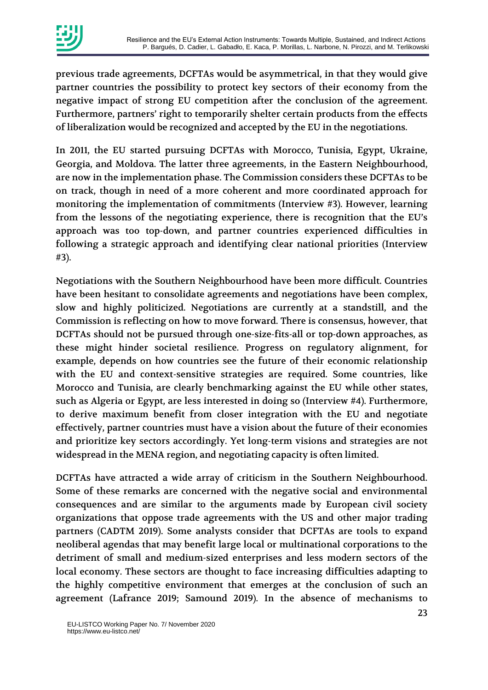

previous trade agreements, DCFTAs would be asymmetrical, in that they would give partner countries the possibility to protect key sectors of their economy from the negative impact of strong EU competition after the conclusion of the agreement. Furthermore, partners' right to temporarily shelter certain products from the effects of liberalization would be recognized and accepted by the EU in the negotiations.

In 2011, the EU started pursuing DCFTAs with Morocco, Tunisia, Egypt, Ukraine, Georgia, and Moldova. The latter three agreements, in the Eastern Neighbourhood, are now in the implementation phase. The Commission considers these DCFTAs to be on track, though in need of a more coherent and more coordinated approach for monitoring the implementation of commitments (Interview #3). However, learning from the lessons of the negotiating experience, there is recognition that the EU's approach was too top-down, and partner countries experienced difficulties in following a strategic approach and identifying clear national priorities (Interview #3).

Negotiations with the Southern Neighbourhood have been more difficult. Countries have been hesitant to consolidate agreements and negotiations have been complex, slow and highly politicized. Negotiations are currently at a standstill, and the Commission is reflecting on how to move forward. There is consensus, however, that DCFTAs should not be pursued through one-size-fits-all or top-down approaches, as these might hinder societal resilience. Progress on regulatory alignment, for example, depends on how countries see the future of their economic relationship with the EU and context-sensitive strategies are required. Some countries, like Morocco and Tunisia, are clearly benchmarking against the EU while other states, such as Algeria or Egypt, are less interested in doing so (Interview #4). Furthermore, to derive maximum benefit from closer integration with the EU and negotiate effectively, partner countries must have a vision about the future of their economies and prioritize key sectors accordingly. Yet long-term visions and strategies are not widespread in the MENA region, and negotiating capacity is often limited.

DCFTAs have attracted a wide array of criticism in the Southern Neighbourhood. Some of these remarks are concerned with the negative social and environmental consequences and are similar to the arguments made by European civil society organizations that oppose trade agreements with the US and other major trading partners (CADTM 2019). Some analysts consider that DCFTAs are tools to expand neoliberal agendas that may benefit large local or multinational corporations to the detriment of small and medium-sized enterprises and less modern sectors of the local economy. These sectors are thought to face increasing difficulties adapting to the highly competitive environment that emerges at the conclusion of such an agreement (Lafrance 2019; Samound 2019). In the absence of mechanisms to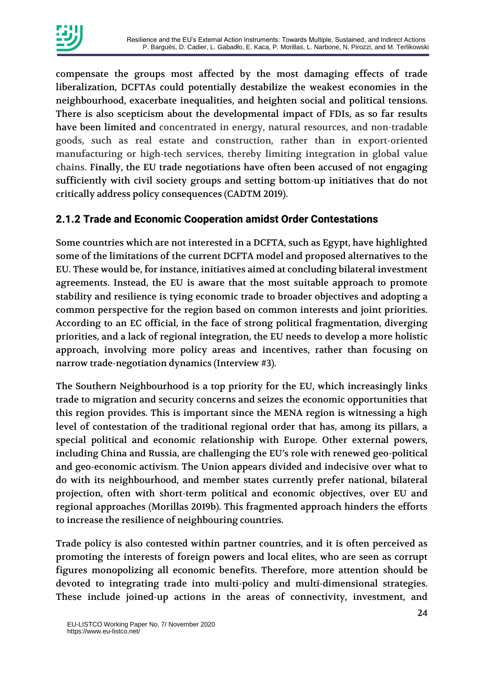

compensate the groups most affected by the most damaging effects of trade liberalization, DCFTAs could potentially destabilize the weakest economies in the neighbourhood, exacerbate inequalities, and heighten social and political tensions. There is also scepticism about the developmental impact of FDIs, as so far results have been limited and concentrated in energy, natural resources, and non-tradable goods, such as real estate and construction, rather than in export-oriented manufacturing or high-tech services, thereby limiting integration in global value chains. Finally, the EU trade negotiations have often been accused of not engaging sufficiently with civil society groups and setting bottom-up initiatives that do not critically address policy consequences (CADTM 2019).

#### **2.1.2 Trade and Economic Cooperation amidst Order Contestations**

Some countries which are not interested in a DCFTA, such as Egypt, have highlighted some of the limitations of the current DCFTA model and proposed alternatives to the EU. These would be, for instance, initiatives aimed at concluding bilateral investment agreements. Instead, the EU is aware that the most suitable approach to promote stability and resilience is tying economic trade to broader objectives and adopting a common perspective for the region based on common interests and joint priorities. According to an EC official, in the face of strong political fragmentation, diverging priorities, and a lack of regional integration, the EU needs to develop a more holistic approach, involving more policy areas and incentives, rather than focusing on narrow trade-negotiation dynamics (Interview #3).

The Southern Neighbourhood is a top priority for the EU, which increasingly links trade to migration and security concerns and seizes the economic opportunities that this region provides. This is important since the MENA region is witnessing a high level of contestation of the traditional regional order that has, among its pillars, a special political and economic relationship with Europe. Other external powers, including China and Russia, are challenging the EU's role with renewed geo-political and geo-economic activism. The Union appears divided and indecisive over what to do with its neighbourhood, and member states currently prefer national, bilateral projection, often with short-term political and economic objectives, over EU and regional approaches (Morillas 2019b). This fragmented approach hinders the efforts to increase the resilience of neighbouring countries.

Trade policy is also contested within partner countries, and it is often perceived as promoting the interests of foreign powers and local elites, who are seen as corrupt figures monopolizing all economic benefits. Therefore, more attention should be devoted to integrating trade into multi-policy and multi-dimensional strategies. These include joined-up actions in the areas of connectivity, investment, and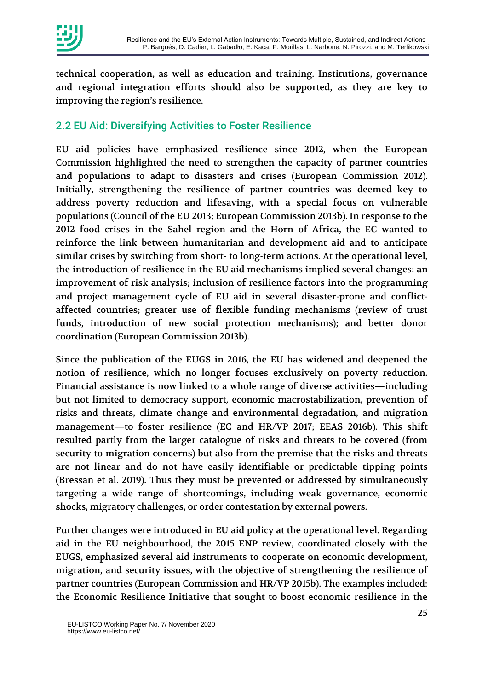

technical cooperation, as well as education and training. Institutions, governance and regional integration efforts should also be supported, as they are key to improving the region's resilience.

#### 2.2 EU Aid: Diversifying Activities to Foster Resilience

EU aid policies have emphasized resilience since 2012, when the European Commission highlighted the need to strengthen the capacity of partner countries and populations to adapt to disasters and crises (European Commission 2012). Initially, strengthening the resilience of partner countries was deemed key to address poverty reduction and lifesaving, with a special focus on vulnerable populations (Council of the EU 2013; European Commission 2013b). In response to the 2012 food crises in the Sahel region and the Horn of Africa, the EC wanted to reinforce the link between humanitarian and development aid and to anticipate similar crises by switching from short- to long-term actions. At the operational level, the introduction of resilience in the EU aid mechanisms implied several changes: an improvement of risk analysis; inclusion of resilience factors into the programming and project management cycle of EU aid in several disaster-prone and conflictaffected countries; greater use of flexible funding mechanisms (review of trust funds, introduction of new social protection mechanisms); and better donor coordination (European Commission 2013b).

Since the publication of the EUGS in 2016, the EU has widened and deepened the notion of resilience, which no longer focuses exclusively on poverty reduction. Financial assistance is now linked to a whole range of diverse activities—including but not limited to democracy support, economic macrostabilization, prevention of risks and threats, climate change and environmental degradation, and migration management—to foster resilience (EC and HR/VP 2017; EEAS 2016b). This shift resulted partly from the larger catalogue of risks and threats to be covered (from security to migration concerns) but also from the premise that the risks and threats are not linear and do not have easily identifiable or predictable tipping points (Bressan et al. 2019). Thus they must be prevented or addressed by simultaneously targeting a wide range of shortcomings, including weak governance, economic shocks, migratory challenges, or order contestation by external powers.

Further changes were introduced in EU aid policy at the operational level. Regarding aid in the EU neighbourhood, the 2015 ENP review, coordinated closely with the EUGS, emphasized several aid instruments to cooperate on economic development, migration, and security issues, with the objective of strengthening the resilience of partner countries (European Commission and HR/VP 2015b). The examples included: the Economic Resilience Initiative that sought to boost economic resilience in the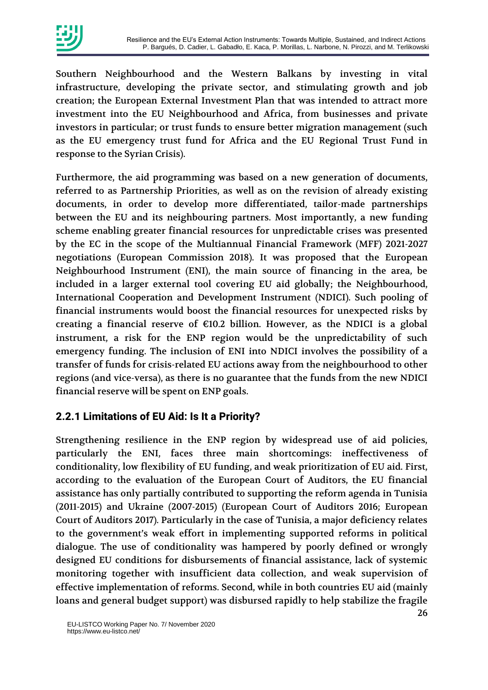

Southern Neighbourhood and the Western Balkans by investing in vital infrastructure, developing the private sector, and stimulating growth and job creation; the European External Investment Plan that was intended to attract more investment into the EU Neighbourhood and Africa, from businesses and private investors in particular; or trust funds to ensure better migration management (such as the EU emergency trust fund for Africa and the EU Regional Trust Fund in response to the Syrian Crisis).

Furthermore, the aid programming was based on a new generation of documents, referred to as Partnership Priorities, as well as on the revision of already existing documents, in order to develop more differentiated, tailor-made partnerships between the EU and its neighbouring partners. Most importantly, a new funding scheme enabling greater financial resources for unpredictable crises was presented by the EC in the scope of the Multiannual Financial Framework (MFF) 2021-2027 negotiations (European Commission 2018). It was proposed that the European Neighbourhood Instrument (ENI), the main source of financing in the area, be included in a larger external tool covering EU aid globally; the Neighbourhood, International Cooperation and Development Instrument (NDICI). Such pooling of financial instruments would boost the financial resources for unexpected risks by creating a financial reserve of  $\epsilon$ 10.2 billion. However, as the NDICI is a global instrument, a risk for the ENP region would be the unpredictability of such emergency funding. The inclusion of ENI into NDICI involves the possibility of a transfer of funds for crisis-related EU actions away from the neighbourhood to other regions (and vice-versa), as there is no guarantee that the funds from the new NDICI financial reserve will be spent on ENP goals.

#### **2.2.1 Limitations of EU Aid: Is It a Priority?**

Strengthening resilience in the ENP region by widespread use of aid policies, particularly the ENI, faces three main shortcomings: ineffectiveness of conditionality, low flexibility of EU funding, and weak prioritization of EU aid. First, according to the evaluation of the European Court of Auditors, the EU financial assistance has only partially contributed to supporting the reform agenda in Tunisia (2011-2015) and Ukraine (2007-2015) (European Court of Auditors 2016; European Court of Auditors 2017). Particularly in the case of Tunisia, a major deficiency relates to the government's weak effort in implementing supported reforms in political dialogue. The use of conditionality was hampered by poorly defined or wrongly designed EU conditions for disbursements of financial assistance, lack of systemic monitoring together with insufficient data collection, and weak supervision of effective implementation of reforms. Second, while in both countries EU aid (mainly loans and general budget support) was disbursed rapidly to help stabilize the fragile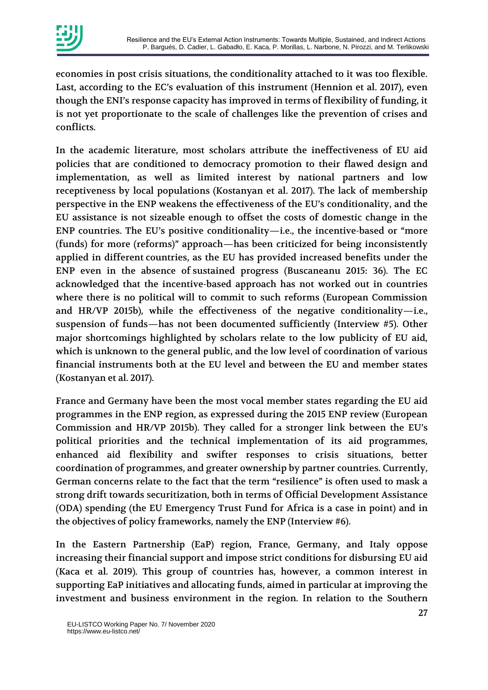

economies in post crisis situations, the conditionality attached to it was too flexible. Last, according to the EC's evaluation of this instrument (Hennion et al. 2017), even though the ENI's response capacity has improved in terms of flexibility of funding, it is not yet proportionate to the scale of challenges like the prevention of crises and conflicts.

In the academic literature, most scholars attribute the ineffectiveness of EU aid policies that are conditioned to democracy promotion to their flawed design and implementation, as well as limited interest by national partners and low receptiveness by local populations (Kostanyan et al. 2017). The lack of membership perspective in the ENP weakens the effectiveness of the EU's conditionality, and the EU assistance is not sizeable enough to offset the costs of domestic change in the ENP countries. The EU's positive conditionality—i.e., the incentive-based or "more (funds) for more (reforms)" approach—has been criticized for being inconsistently applied in different countries, as the EU has provided increased benefits under the ENP even in the absence of sustained progress (Buscaneanu 2015: 36). The EC acknowledged that the incentive-based approach has not worked out in countries where there is no political will to commit to such reforms (European Commission and HR/VP 2015b), while the effectiveness of the negative conditionality—i.e., suspension of funds—has not been documented sufficiently (Interview #5). Other major shortcomings highlighted by scholars relate to the low publicity of EU aid, which is unknown to the general public, and the low level of coordination of various financial instruments both at the EU level and between the EU and member states (Kostanyan et al. 2017).

France and Germany have been the most vocal member states regarding the EU aid programmes in the ENP region, as expressed during the 2015 ENP review (European Commission and HR/VP 2015b). They called for a stronger link between the EU's political priorities and the technical implementation of its aid programmes, enhanced aid flexibility and swifter responses to crisis situations, better coordination of programmes, and greater ownership by partner countries. Currently, German concerns relate to the fact that the term "resilience" is often used to mask a strong drift towards securitization, both in terms of Official Development Assistance (ODA) spending (the EU Emergency Trust Fund for Africa is a case in point) and in the objectives of policy frameworks, namely the ENP (Interview #6).

In the Eastern Partnership (EaP) region, France, Germany, and Italy oppose increasing their financial support and impose strict conditions for disbursing EU aid (Kaca et al. 2019). This group of countries has, however, a common interest in supporting EaP initiatives and allocating funds, aimed in particular at improving the investment and business environment in the region. In relation to the Southern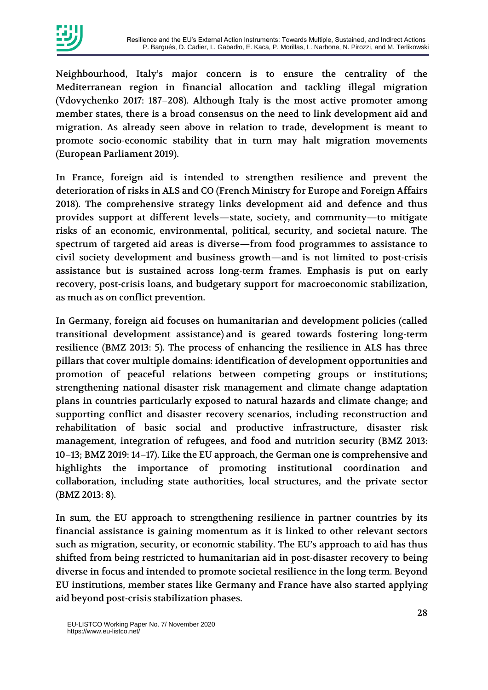

Neighbourhood, Italy's major concern is to ensure the centrality of the Mediterranean region in financial allocation and tackling illegal migration (Vdovychenko 2017: 187–208). Although Italy is the most active promoter among member states, there is a broad consensus on the need to link development aid and migration. As already seen above in relation to trade, development is meant to promote socio-economic stability that in turn may halt migration movements (European Parliament 2019).

In France, foreign aid is intended to strengthen resilience and prevent the deterioration of risks in ALS and CO (French Ministry for Europe and Foreign Affairs 2018). The comprehensive strategy links development aid and defence and thus provides support at different levels—state, society, and community—to mitigate risks of an economic, environmental, political, security, and societal nature. The spectrum of targeted aid areas is diverse—from food programmes to assistance to civil society development and business growth—and is not limited to post-crisis assistance but is sustained across long-term frames. Emphasis is put on early recovery, post-crisis loans, and budgetary support for macroeconomic stabilization, as much as on conflict prevention.

In Germany, foreign aid focuses on humanitarian and development policies (called transitional development assistance) and is geared towards fostering long-term resilience (BMZ 2013: 5). The process of enhancing the resilience in ALS has three pillars that cover multiple domains: identification of development opportunities and promotion of peaceful relations between competing groups or institutions; strengthening national disaster risk management and climate change adaptation plans in countries particularly exposed to natural hazards and climate change; and supporting conflict and disaster recovery scenarios, including reconstruction and rehabilitation of basic social and productive infrastructure, disaster risk management, integration of refugees, and food and nutrition security (BMZ 2013: 10–13; BMZ 2019: 14–17). Like the EU approach, the German one is comprehensive and highlights the importance of promoting institutional coordination and collaboration, including state authorities, local structures, and the private sector (BMZ 2013: 8).

In sum, the EU approach to strengthening resilience in partner countries by its financial assistance is gaining momentum as it is linked to other relevant sectors such as migration, security, or economic stability. The EU's approach to aid has thus shifted from being restricted to humanitarian aid in post-disaster recovery to being diverse in focus and intended to promote societal resilience in the long term. Beyond EU institutions, member states like Germany and France have also started applying aid beyond post-crisis stabilization phases.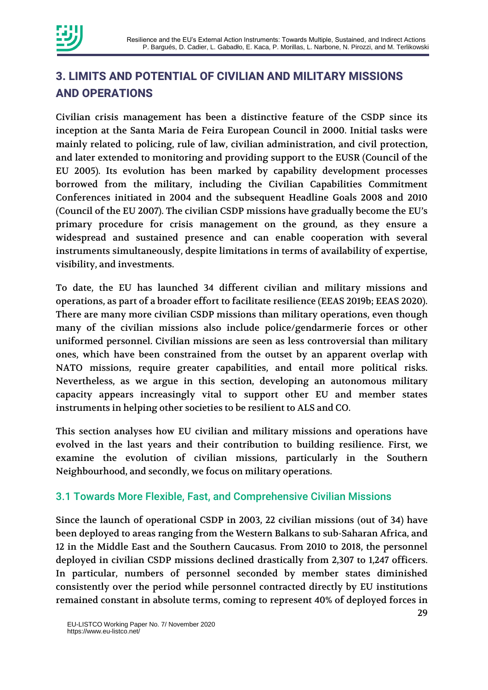

# **3. LIMITS AND POTENTIAL OF CIVILIAN AND MILITARY MISSIONS AND OPERATIONS**

Civilian crisis management has been a distinctive feature of the CSDP since its inception at the Santa Maria de Feira European Council in 2000. Initial tasks were mainly related to policing, rule of law, civilian administration, and civil protection, and later extended to monitoring and providing support to the EUSR (Council of the EU 2005). Its evolution has been marked by capability development processes borrowed from the military, including the Civilian Capabilities Commitment Conferences initiated in 2004 and the subsequent Headline Goals 2008 and 2010 (Council of the EU 2007). The civilian CSDP missions have gradually become the EU's primary procedure for crisis management on the ground, as they ensure a widespread and sustained presence and can enable cooperation with several instruments simultaneously, despite limitations in terms of availability of expertise, visibility, and investments.

To date, the EU has launched 34 different civilian and military missions and operations, as part of a broader effort to facilitate resilience (EEAS 2019b; EEAS 2020). There are many more civilian CSDP missions than military operations, even though many of the civilian missions also include police/gendarmerie forces or other uniformed personnel. Civilian missions are seen as less controversial than military ones, which have been constrained from the outset by an apparent overlap with NATO missions, require greater capabilities, and entail more political risks. Nevertheless, as we argue in this section, developing an autonomous military capacity appears increasingly vital to support other EU and member states instruments in helping other societies to be resilient to ALS and CO.

This section analyses how EU civilian and military missions and operations have evolved in the last years and their contribution to building resilience. First, we examine the evolution of civilian missions, particularly in the Southern Neighbourhood, and secondly, we focus on military operations.

#### 3.1 Towards More Flexible, Fast, and Comprehensive Civilian Missions

Since the launch of operational CSDP in 2003, 22 civilian missions (out of 34) have been deployed to areas ranging from the Western Balkans to sub-Saharan Africa, and 12 in the Middle East and the Southern Caucasus. From 2010 to 2018, the personnel deployed in civilian CSDP missions declined drastically from 2,307 to 1,247 officers. In particular, numbers of personnel seconded by member states diminished consistently over the period while personnel contracted directly by EU institutions remained constant in absolute terms, coming to represent 40% of deployed forces in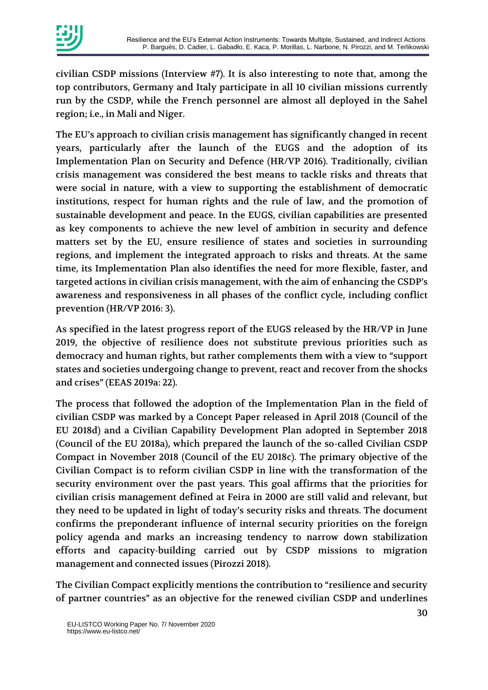

civilian CSDP missions (Interview #7). It is also interesting to note that, among the top contributors, Germany and Italy participate in all 10 civilian missions currently run by the CSDP, while the French personnel are almost all deployed in the Sahel region; i.e., in Mali and Niger.

The EU's approach to civilian crisis management has significantly changed in recent years, particularly after the launch of the EUGS and the adoption of its Implementation Plan on Security and Defence (HR/VP 2016). Traditionally, civilian crisis management was considered the best means to tackle risks and threats that were social in nature, with a view to supporting the establishment of democratic institutions, respect for human rights and the rule of law, and the promotion of sustainable development and peace. In the EUGS, civilian capabilities are presented as key components to achieve the new level of ambition in security and defence matters set by the EU, ensure resilience of states and societies in surrounding regions, and implement the integrated approach to risks and threats. At the same time, its Implementation Plan also identifies the need for more flexible, faster, and targeted actions in civilian crisis management, with the aim of enhancing the CSDP's awareness and responsiveness in all phases of the conflict cycle, including conflict prevention (HR/VP 2016: 3).

As specified in the latest progress report of the EUGS released by the HR/VP in June 2019, the objective of resilience does not substitute previous priorities such as democracy and human rights, but rather complements them with a view to "support states and societies undergoing change to prevent, react and recover from the shocks and crises" (EEAS 2019a: 22).

The process that followed the adoption of the Implementation Plan in the field of civilian CSDP was marked by a Concept Paper released in April 2018 (Council of the EU 2018d) and a Civilian Capability Development Plan adopted in September 2018 (Council of the EU 2018a), which prepared the launch of the so-called Civilian CSDP Compact in November 2018 (Council of the EU 2018c). The primary objective of the Civilian Compact is to reform civilian CSDP in line with the transformation of the security environment over the past years. This goal affirms that the priorities for civilian crisis management defined at Feira in 2000 are still valid and relevant, but they need to be updated in light of today's security risks and threats. The document confirms the preponderant influence of internal security priorities on the foreign policy agenda and marks an increasing tendency to narrow down stabilization efforts and capacity-building carried out by CSDP missions to migration management and connected issues (Pirozzi 2018).

The Civilian Compact explicitly mentions the contribution to "resilience and security of partner countries" as an objective for the renewed civilian CSDP and underlines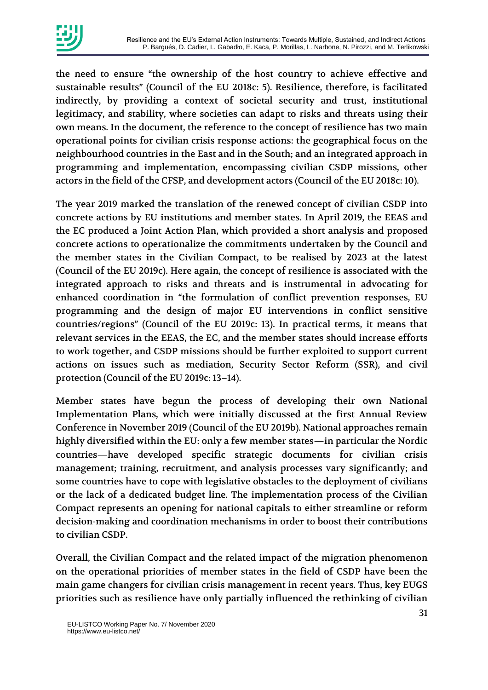

the need to ensure "the ownership of the host country to achieve effective and sustainable results" (Council of the EU 2018c: 5). Resilience, therefore, is facilitated indirectly, by providing a context of societal security and trust, institutional legitimacy, and stability, where societies can adapt to risks and threats using their own means. In the document, the reference to the concept of resilience has two main operational points for civilian crisis response actions: the geographical focus on the neighbourhood countries in the East and in the South; and an integrated approach in programming and implementation, encompassing civilian CSDP missions, other actors in the field of the CFSP, and development actors (Council of the EU 2018c: 10).

The year 2019 marked the translation of the renewed concept of civilian CSDP into concrete actions by EU institutions and member states. In April 2019, the EEAS and the EC produced a Joint Action Plan, which provided a short analysis and proposed concrete actions to operationalize the commitments undertaken by the Council and the member states in the Civilian Compact, to be realised by 2023 at the latest (Council of the EU 2019c). Here again, the concept of resilience is associated with the integrated approach to risks and threats and is instrumental in advocating for enhanced coordination in "the formulation of conflict prevention responses, EU programming and the design of major EU interventions in conflict sensitive countries/regions" (Council of the EU 2019c: 13). In practical terms, it means that relevant services in the EEAS, the EC, and the member states should increase efforts to work together, and CSDP missions should be further exploited to support current actions on issues such as mediation, Security Sector Reform (SSR), and civil protection (Council of the EU 2019c: 13–14).

Member states have begun the process of developing their own National Implementation Plans, which were initially discussed at the first Annual Review Conference in November 2019 (Council of the EU 2019b). National approaches remain highly diversified within the EU: only a few member states—in particular the Nordic countries—have developed specific strategic documents for civilian crisis management; training, recruitment, and analysis processes vary significantly; and some countries have to cope with legislative obstacles to the deployment of civilians or the lack of a dedicated budget line. The implementation process of the Civilian Compact represents an opening for national capitals to either streamline or reform decision-making and coordination mechanisms in order to boost their contributions to civilian CSDP.

Overall, the Civilian Compact and the related impact of the migration phenomenon on the operational priorities of member states in the field of CSDP have been the main game changers for civilian crisis management in recent years. Thus, key EUGS priorities such as resilience have only partially influenced the rethinking of civilian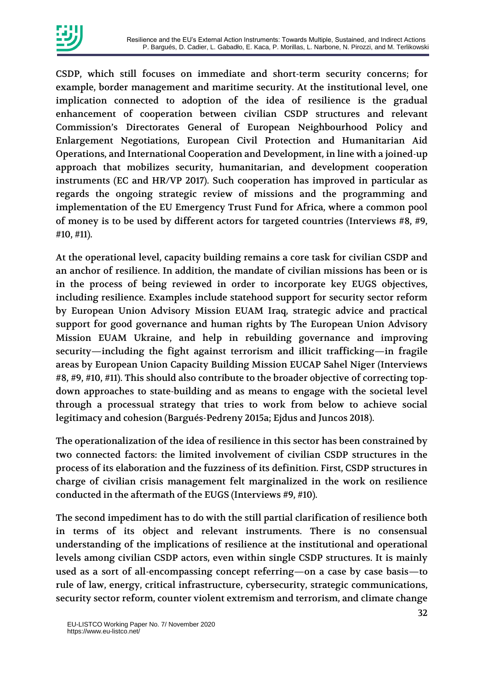

CSDP, which still focuses on immediate and short-term security concerns; for example, border management and maritime security. At the institutional level, one implication connected to adoption of the idea of resilience is the gradual enhancement of cooperation between civilian CSDP structures and relevant Commission's Directorates General of European Neighbourhood Policy and Enlargement Negotiations, European Civil Protection and Humanitarian Aid Operations, and International Cooperation and Development, in line with a joined-up approach that mobilizes security, humanitarian, and development cooperation instruments (EC and HR/VP 2017). Such cooperation has improved in particular as regards the ongoing strategic review of missions and the programming and implementation of the EU Emergency Trust Fund for Africa, where a common pool of money is to be used by different actors for targeted countries (Interviews #8, #9, #10, #11).

At the operational level, capacity building remains a core task for civilian CSDP and an anchor of resilience. In addition, the mandate of civilian missions has been or is in the process of being reviewed in order to incorporate key EUGS objectives, including resilience. Examples include statehood support for security sector reform by European Union Advisory Mission EUAM Iraq, strategic advice and practical support for good governance and human rights by The European Union Advisory Mission EUAM Ukraine, and help in rebuilding governance and improving security—including the fight against terrorism and illicit trafficking—in fragile areas by European Union Capacity Building Mission EUCAP Sahel Niger (Interviews #8, #9, #10, #11). This should also contribute to the broader objective of correcting topdown approaches to state-building and as means to engage with the societal level through a processual strategy that tries to work from below to achieve social legitimacy and cohesion (Bargués-Pedreny 2015a; Ejdus and Juncos 2018).

The operationalization of the idea of resilience in this sector has been constrained by two connected factors: the limited involvement of civilian CSDP structures in the process of its elaboration and the fuzziness of its definition. First, CSDP structures in charge of civilian crisis management felt marginalized in the work on resilience conducted in the aftermath of the EUGS (Interviews #9, #10).

The second impediment has to do with the still partial clarification of resilience both in terms of its object and relevant instruments. There is no consensual understanding of the implications of resilience at the institutional and operational levels among civilian CSDP actors, even within single CSDP structures. It is mainly used as a sort of all-encompassing concept referring—on a case by case basis—to rule of law, energy, critical infrastructure, cybersecurity, strategic communications, security sector reform, counter violent extremism and terrorism, and climate change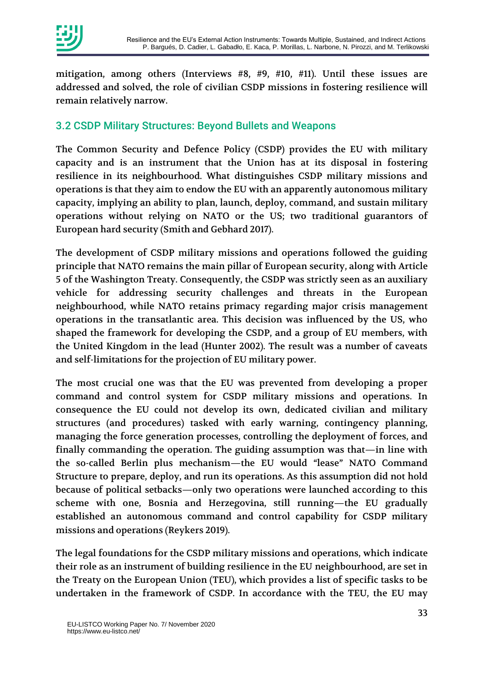

mitigation, among others (Interviews #8, #9, #10, #11). Until these issues are addressed and solved, the role of civilian CSDP missions in fostering resilience will remain relatively narrow.

#### 3.2 CSDP Military Structures: Beyond Bullets and Weapons

The Common Security and Defence Policy (CSDP) provides the EU with military capacity and is an instrument that the Union has at its disposal in fostering resilience in its neighbourhood. What distinguishes CSDP military missions and operations is that they aim to endow the EU with an apparently autonomous military capacity, implying an ability to plan, launch, deploy, command, and sustain military operations without relying on NATO or the US; two traditional guarantors of European hard security (Smith and Gebhard 2017).

The development of CSDP military missions and operations followed the guiding principle that NATO remains the main pillar of European security, along with Article 5 of the Washington Treaty. Consequently, the CSDP was strictly seen as an auxiliary vehicle for addressing security challenges and threats in the European neighbourhood, while NATO retains primacy regarding major crisis management operations in the transatlantic area. This decision was influenced by the US, who shaped the framework for developing the CSDP, and a group of EU members, with the United Kingdom in the lead (Hunter 2002). The result was a number of caveats and self-limitations for the projection of EU military power.

The most crucial one was that the EU was prevented from developing a proper command and control system for CSDP military missions and operations. In consequence the EU could not develop its own, dedicated civilian and military structures (and procedures) tasked with early warning, contingency planning, managing the force generation processes, controlling the deployment of forces, and finally commanding the operation. The guiding assumption was that—in line with the so-called Berlin plus mechanism—the EU would "lease" NATO Command Structure to prepare, deploy, and run its operations. As this assumption did not hold because of political setbacks—only two operations were launched according to this scheme with one, Bosnia and Herzegovina, still running—the EU gradually established an autonomous command and control capability for CSDP military missions and operations (Reykers 2019).

The legal foundations for the CSDP military missions and operations, which indicate their role as an instrument of building resilience in the EU neighbourhood, are set in the Treaty on the European Union (TEU), which provides a list of specific tasks to be undertaken in the framework of CSDP. In accordance with the TEU, the EU may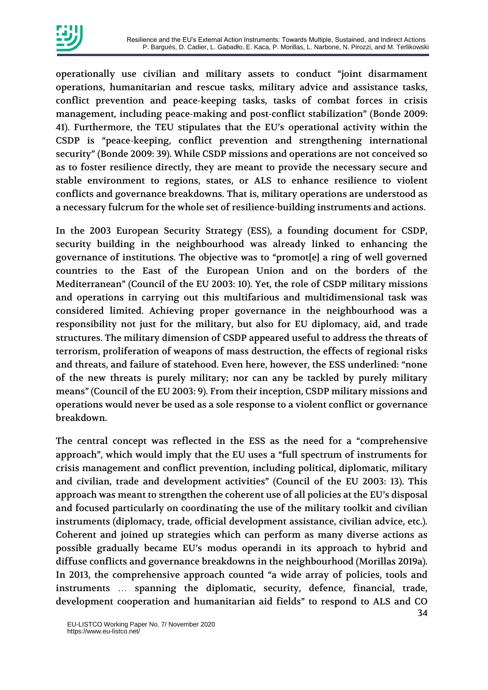

operationally use civilian and military assets to conduct "joint disarmament operations, humanitarian and rescue tasks, military advice and assistance tasks, conflict prevention and peace-keeping tasks, tasks of combat forces in crisis management, including peace-making and post-conflict stabilization" (Bonde 2009: 41). Furthermore, the TEU stipulates that the EU's operational activity within the CSDP is "peace-keeping, conflict prevention and strengthening international security" (Bonde 2009: 39). While CSDP missions and operations are not conceived so as to foster resilience directly, they are meant to provide the necessary secure and stable environment to regions, states, or ALS to enhance resilience to violent conflicts and governance breakdowns. That is, military operations are understood as a necessary fulcrum for the whole set of resilience-building instruments and actions.

In the 2003 European Security Strategy (ESS), a founding document for CSDP, security building in the neighbourhood was already linked to enhancing the governance of institutions. The objective was to "promot[e] a ring of well governed countries to the East of the European Union and on the borders of the Mediterranean" (Council of the EU 2003: 10). Yet, the role of CSDP military missions and operations in carrying out this multifarious and multidimensional task was considered limited. Achieving proper governance in the neighbourhood was a responsibility not just for the military, but also for EU diplomacy, aid, and trade structures. The military dimension of CSDP appeared useful to address the threats of terrorism, proliferation of weapons of mass destruction, the effects of regional risks and threats, and failure of statehood. Even here, however, the ESS underlined: "none of the new threats is purely military; nor can any be tackled by purely military means" (Council of the EU 2003: 9). From their inception, CSDP military missions and operations would never be used as a sole response to a violent conflict or governance breakdown.

The central concept was reflected in the ESS as the need for a "comprehensive approach", which would imply that the EU uses a "full spectrum of instruments for crisis management and conflict prevention, including political, diplomatic, military and civilian, trade and development activities" (Council of the EU 2003: 13). This approach was meant to strengthen the coherent use of all policies at the EU's disposal and focused particularly on coordinating the use of the military toolkit and civilian instruments (diplomacy, trade, official development assistance, civilian advice, etc.). Coherent and joined up strategies which can perform as many diverse actions as possible gradually became EU's modus operandi in its approach to hybrid and diffuse conflicts and governance breakdowns in the neighbourhood (Morillas 2019a). In 2013, the comprehensive approach counted "a wide array of policies, tools and instruments … spanning the diplomatic, security, defence, financial, trade, development cooperation and humanitarian aid fields" to respond to ALS and CO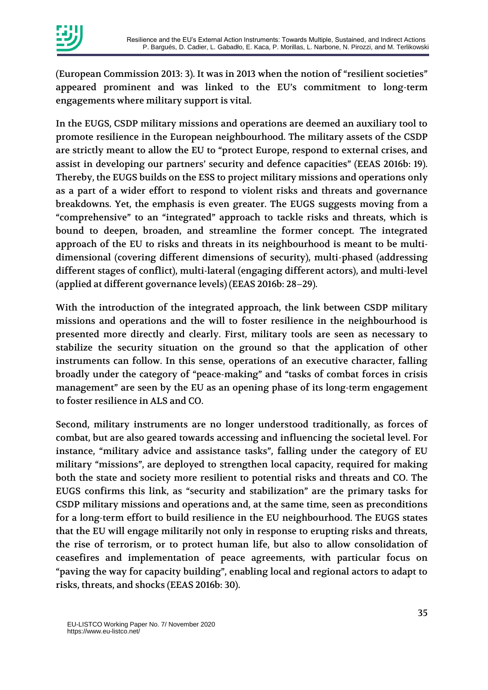(European Commission 2013: 3). It was in 2013 when the notion of "resilient societies" appeared prominent and was linked to the EU's commitment to long-term engagements where military support is vital.

In the EUGS, CSDP military missions and operations are deemed an auxiliary tool to promote resilience in the European neighbourhood. The military assets of the CSDP are strictly meant to allow the EU to "protect Europe, respond to external crises, and assist in developing our partners' security and defence capacities" (EEAS 2016b: 19). Thereby, the EUGS builds on the ESS to project military missions and operations only as a part of a wider effort to respond to violent risks and threats and governance breakdowns. Yet, the emphasis is even greater. The EUGS suggests moving from a "comprehensive" to an "integrated" approach to tackle risks and threats, which is bound to deepen, broaden, and streamline the former concept. The integrated approach of the EU to risks and threats in its neighbourhood is meant to be multidimensional (covering different dimensions of security), multi-phased (addressing different stages of conflict), multi-lateral (engaging different actors), and multi-level (applied at different governance levels) (EEAS 2016b: 28–29).

With the introduction of the integrated approach, the link between CSDP military missions and operations and the will to foster resilience in the neighbourhood is presented more directly and clearly. First, military tools are seen as necessary to stabilize the security situation on the ground so that the application of other instruments can follow. In this sense, operations of an executive character, falling broadly under the category of "peace-making" and "tasks of combat forces in crisis management" are seen by the EU as an opening phase of its long-term engagement to foster resilience in ALS and CO.

Second, military instruments are no longer understood traditionally, as forces of combat, but are also geared towards accessing and influencing the societal level. For instance, "military advice and assistance tasks", falling under the category of EU military "missions", are deployed to strengthen local capacity, required for making both the state and society more resilient to potential risks and threats and CO. The EUGS confirms this link, as "security and stabilization" are the primary tasks for CSDP military missions and operations and, at the same time, seen as preconditions for a long-term effort to build resilience in the EU neighbourhood. The EUGS states that the EU will engage militarily not only in response to erupting risks and threats, the rise of terrorism, or to protect human life, but also to allow consolidation of ceasefires and implementation of peace agreements, with particular focus on "paving the way for capacity building", enabling local and regional actors to adapt to risks, threats, and shocks (EEAS 2016b: 30).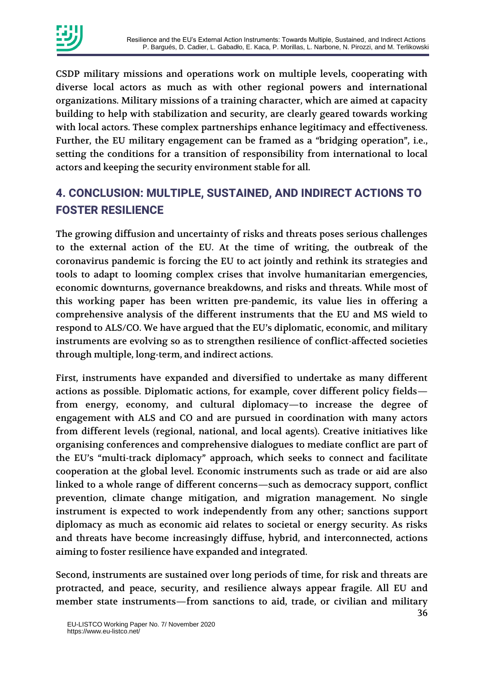CSDP military missions and operations work on multiple levels, cooperating with diverse local actors as much as with other regional powers and international organizations. Military missions of a training character, which are aimed at capacity building to help with stabilization and security, are clearly geared towards working with local actors. These complex partnerships enhance legitimacy and effectiveness. Further, the EU military engagement can be framed as a "bridging operation", i.e., setting the conditions for a transition of responsibility from international to local actors and keeping the security environment stable for all.

# **4. CONCLUSION: MULTIPLE, SUSTAINED, AND INDIRECT ACTIONS TO FOSTER RESILIENCE**

The growing diffusion and uncertainty of risks and threats poses serious challenges to the external action of the EU. At the time of writing, the outbreak of the coronavirus pandemic is forcing the EU to act jointly and rethink its strategies and tools to adapt to looming complex crises that involve humanitarian emergencies, economic downturns, governance breakdowns, and risks and threats. While most of this working paper has been written pre-pandemic, its value lies in offering a comprehensive analysis of the different instruments that the EU and MS wield to respond to ALS/CO. We have argued that the EU's diplomatic, economic, and military instruments are evolving so as to strengthen resilience of conflict-affected societies through multiple, long-term, and indirect actions.

First, instruments have expanded and diversified to undertake as many different actions as possible. Diplomatic actions, for example, cover different policy fields from energy, economy, and cultural diplomacy—to increase the degree of engagement with ALS and CO and are pursued in coordination with many actors from different levels (regional, national, and local agents). Creative initiatives like organising conferences and comprehensive dialogues to mediate conflict are part of the EU's "multi-track diplomacy" approach, which seeks to connect and facilitate cooperation at the global level. Economic instruments such as trade or aid are also linked to a whole range of different concerns—such as democracy support, conflict prevention, climate change mitigation, and migration management. No single instrument is expected to work independently from any other; sanctions support diplomacy as much as economic aid relates to societal or energy security. As risks and threats have become increasingly diffuse, hybrid, and interconnected, actions aiming to foster resilience have expanded and integrated.

Second, instruments are sustained over long periods of time, for risk and threats are protracted, and peace, security, and resilience always appear fragile. All EU and member state instruments—from sanctions to aid, trade, or civilian and military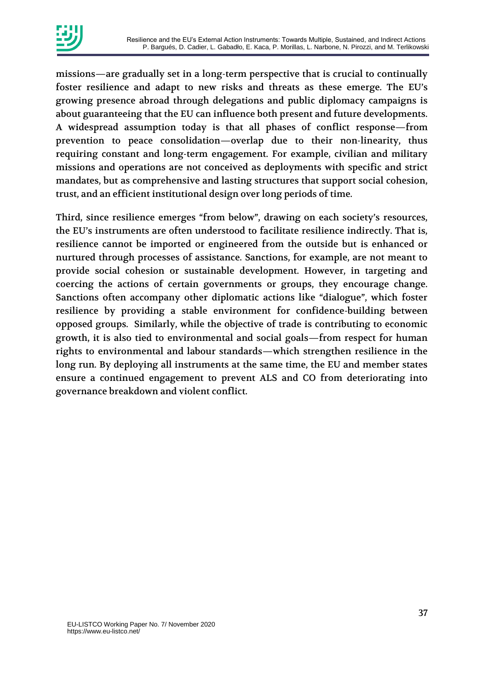

missions—are gradually set in a long-term perspective that is crucial to continually foster resilience and adapt to new risks and threats as these emerge. The EU's growing presence abroad through delegations and public diplomacy campaigns is about guaranteeing that the EU can influence both present and future developments. A widespread assumption today is that all phases of conflict response—from prevention to peace consolidation—overlap due to their non-linearity, thus requiring constant and long-term engagement. For example, civilian and military missions and operations are not conceived as deployments with specific and strict mandates, but as comprehensive and lasting structures that support social cohesion, trust, and an efficient institutional design over long periods of time.

Third, since resilience emerges "from below", drawing on each society's resources, the EU's instruments are often understood to facilitate resilience indirectly. That is, resilience cannot be imported or engineered from the outside but is enhanced or nurtured through processes of assistance. Sanctions, for example, are not meant to provide social cohesion or sustainable development. However, in targeting and coercing the actions of certain governments or groups, they encourage change. Sanctions often accompany other diplomatic actions like "dialogue", which foster resilience by providing a stable environment for confidence-building between opposed groups. Similarly, while the objective of trade is contributing to economic growth, it is also tied to environmental and social goals—from respect for human rights to environmental and labour standards—which strengthen resilience in the long run. By deploying all instruments at the same time, the EU and member states ensure a continued engagement to prevent ALS and CO from deteriorating into governance breakdown and violent conflict.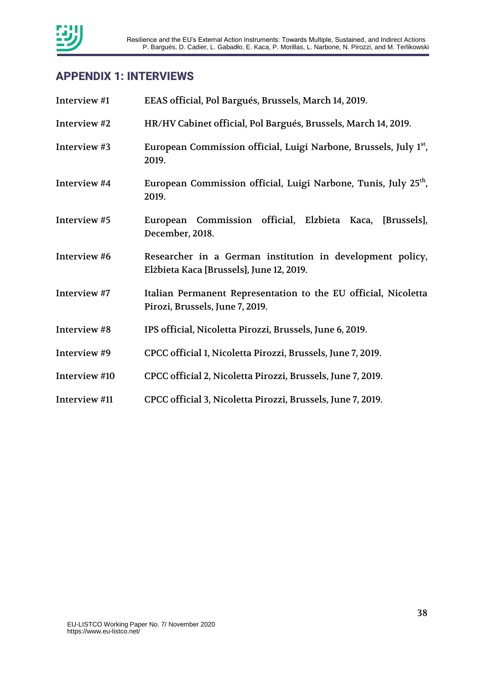

### **APPENDIX 1: INTERVIEWS**

| Interview #1  | EEAS official, Pol Bargués, Brussels, March 14, 2019.                                                 |
|---------------|-------------------------------------------------------------------------------------------------------|
| Interview #2  | HR/HV Cabinet official, Pol Bargués, Brussels, March 14, 2019.                                        |
| Interview #3  | European Commission official, Luigi Narbone, Brussels, July 1 <sup>st</sup> ,<br>2019.                |
| Interview #4  | European Commission official, Luigi Narbone, Tunis, July 25 <sup>th</sup> ,<br>2019.                  |
| Interview #5  | European Commission official, Elzbieta Kaca, [Brussels],<br>December, 2018.                           |
| Interview #6  | Researcher in a German institution in development policy,<br>Elżbieta Kaca [Brussels], June 12, 2019. |
| Interview #7  | Italian Permanent Representation to the EU official, Nicoletta<br>Pirozi, Brussels, June 7, 2019.     |
| Interview #8  | IPS official, Nicoletta Pirozzi, Brussels, June 6, 2019.                                              |
| Interview #9  | CPCC official 1, Nicoletta Pirozzi, Brussels, June 7, 2019.                                           |
| Interview #10 | CPCC official 2, Nicoletta Pirozzi, Brussels, June 7, 2019.                                           |
| Interview #11 | CPCC official 3, Nicoletta Pirozzi, Brussels, June 7, 2019.                                           |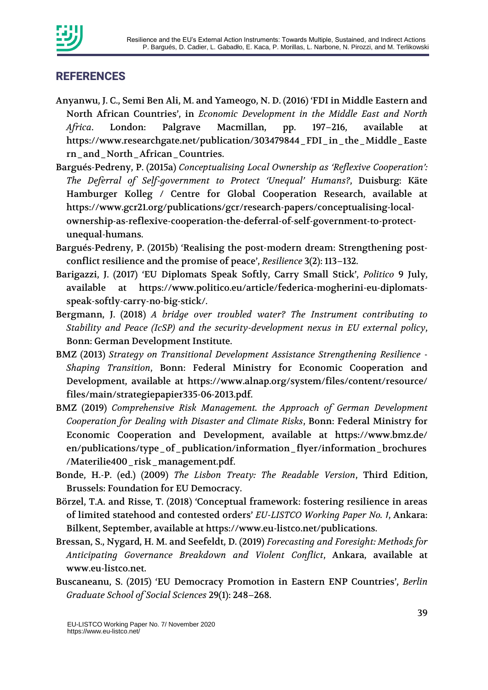

#### **REFERENCES**

- Anyanwu, J. C., Semi Ben Ali, M. and Yameogo, N. D. (2016) 'FDI in Middle Eastern and North African Countries', in *Economic Development in the Middle East and North Africa*. London: Palgrave Macmillan, pp. 197–216, available at https://www.researchgate.net/publication/303479844\_FDI\_in\_the\_Middle\_Easte rn\_and\_North\_African\_Countries.
- Bargués-Pedreny, P. (2015a) *Conceptualising Local Ownership as 'Reflexive Cooperation': The Deferral of Self-government to Protect 'Unequal' Humans?*, Duisburg: Käte Hamburger Kolleg / Centre for Global Cooperation Research, available at https://www.gcr21.org/publications/gcr/research-papers/conceptualising-localownership-as-reflexive-cooperation-the-deferral-of-self-government-to-protectunequal-humans.
- Bargués-Pedreny, P. (2015b) 'Realising the post-modern dream: Strengthening postconflict resilience and the promise of peace', *Resilience* 3(2): 113–132.
- Barigazzi, J. (2017) 'EU Diplomats Speak Softly, Carry Small Stick', *Politico* 9 July, available at https://www.politico.eu/article/federica-mogherini-eu-diplomatsspeak-softly-carry-no-big-stick/.
- Bergmann, J. (2018) *A bridge over troubled water? The Instrument contributing to Stability and Peace (IcSP) and the security-development nexus in EU external policy*, Bonn: German Development Institute.
- BMZ (2013) *Strategy on Transitional Development Assistance Strengthening Resilience - Shaping Transition*, Bonn: Federal Ministry for Economic Cooperation and Development, available at https://www.alnap.org/system/files/content/resource/ files/main/strategiepapier335-06-2013.pdf.
- BMZ (2019) *Comprehensive Risk Management. the Approach of German Development Cooperation for Dealing with Disaster and Climate Risks*, Bonn: Federal Ministry for Economic Cooperation and Development, available at https://www.bmz.de/ en/publications/type\_of\_publication/information\_flyer/information\_brochures /Materilie400\_risk\_management.pdf.
- Bonde, H.-P. (ed.) (2009) *The Lisbon Treaty: The Readable Version*, Third Edition, Brussels: Foundation for EU Democracy.
- Börzel, T.A. and Risse, T. (2018) 'Conceptual framework: fostering resilience in areas of limited statehood and contested orders' *EU-LISTCO Working Paper No. 1*, Ankara: Bilkent, September, available at https://www.eu-listco.net/publications.
- Bressan, S., Nygard, H. M. and Seefeldt, D. (2019) *Forecasting and Foresight: Methods for Anticipating Governance Breakdown and Violent Conflict*, Ankara, available at www.eu-listco.net.
- Buscaneanu, S. (2015) 'EU Democracy Promotion in Eastern ENP Countries', *Berlin Graduate School of Social Sciences* 29(1): 248–268.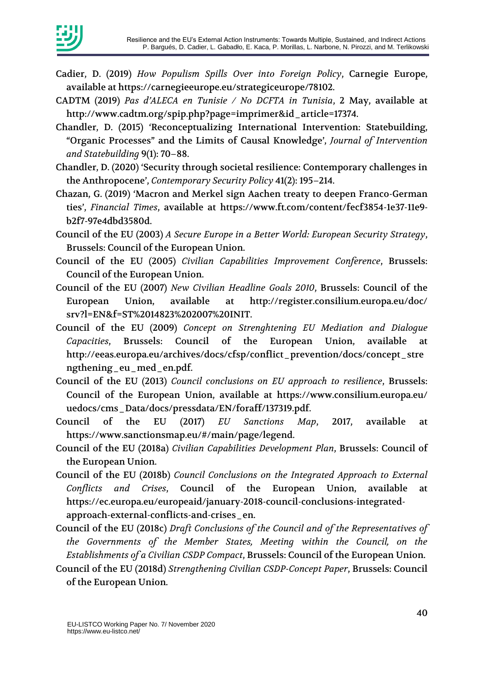

- Cadier, D. (2019) *How Populism Spills Over into Foreign Policy*, Carnegie Europe, available at https://carnegieeurope.eu/strategiceurope/78102.
- CADTM (2019) *Pas d'ALECA en Tunisie / No DCFTA in Tunisia*, 2 May, available at http://www.cadtm.org/spip.php?page=imprimer&id\_article=17374.
- Chandler, D. (2015) 'Reconceptualizing International Intervention: Statebuilding, "Organic Processes" and the Limits of Causal Knowledge', *Journal of Intervention and Statebuilding* 9(1): 70–88.
- Chandler, D. (2020) 'Security through societal resilience: Contemporary challenges in the Anthropocene', *Contemporary Security Policy* 41(2): 195–214.
- Chazan, G. (2019) 'Macron and Merkel sign Aachen treaty to deepen Franco-German ties', *Financial Times*, available at https://www.ft.com/content/fecf3854-1e37-11e9 b2f7-97e4dbd3580d.
- Council of the EU (2003) *A Secure Europe in a Better World: European Security Strategy*, Brussels: Council of the European Union.
- Council of the EU (2005) *Civilian Capabilities Improvement Conference*, Brussels: Council of the European Union.
- Council of the EU (2007) *New Civilian Headline Goals 2010*, Brussels: Council of the European Union, available at http://register.consilium.europa.eu/doc/ srv?l=EN&f=ST%2014823%202007%20INIT.
- Council of the EU (2009) *Concept on Strenghtening EU Mediation and Dialogue Capacities*, Brussels: Council of the European Union, available at http://eeas.europa.eu/archives/docs/cfsp/conflict\_prevention/docs/concept\_stre ngthening\_eu\_med\_en.pdf.
- Council of the EU (2013) *Council conclusions on EU approach to resilience*, Brussels: Council of the European Union, available at https://www.consilium.europa.eu/ uedocs/cms\_Data/docs/pressdata/EN/foraff/137319.pdf.
- Council of the EU (2017) *EU Sanctions Map*, 2017, available at https://www.sanctionsmap.eu/#/main/page/legend.
- Council of the EU (2018a) *Civilian Capabilities Development Plan*, Brussels: Council of the European Union.
- Council of the EU (2018b) *Council Conclusions on the Integrated Approach to External Conflicts and Crises*, Council of the European Union, available at https://ec.europa.eu/europeaid/january-2018-council-conclusions-integratedapproach-external-conflicts-and-crises\_en.
- Council of the EU (2018c) *Draft Conclusions of the Council and of the Representatives of the Governments of the Member States, Meeting within the Council, on the Establishments of a Civilian CSDP Compact*, Brussels: Council of the European Union.
- Council of the EU (2018d) *Strengthening Civilian CSDP-Concept Paper*, Brussels: Council of the European Union.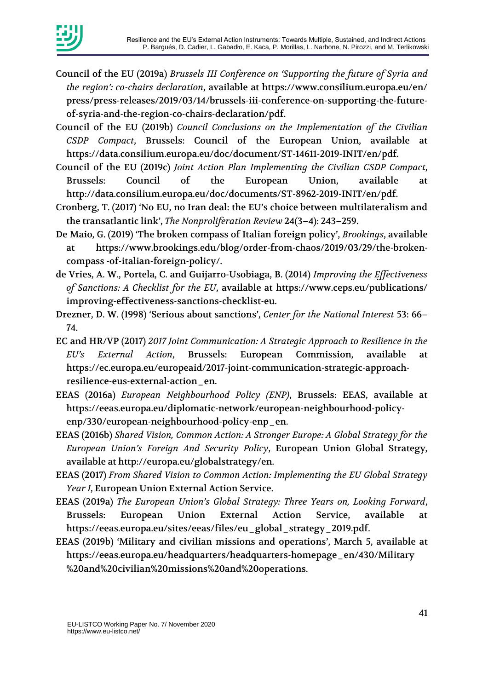

- Council of the EU (2019a) *Brussels III Conference on 'Supporting the future of Syria and the region': co-chairs declaration*, available at https://www.consilium.europa.eu/en/ press/press-releases/2019/03/14/brussels-iii-conference-on-supporting-the-futureof-syria-and-the-region-co-chairs-declaration/pdf.
- Council of the EU (2019b) *Council Conclusions on the Implementation of the Civilian CSDP Compact*, Brussels: Council of the European Union, available at https://data.consilium.europa.eu/doc/document/ST-14611-2019-INIT/en/pdf.
- Council of the EU (2019c) *Joint Action Plan Implementing the Civilian CSDP Compact*, Brussels: Council of the European Union, available at http://data.consilium.europa.eu/doc/documents/ST-8962-2019-INIT/en/pdf.
- Cronberg, T. (2017) 'No EU, no Iran deal: the EU's choice between multilateralism and the transatlantic link', *The Nonproliferation Review* 24(3–4): 243–259.
- De Maio, G. (2019) 'The broken compass of Italian foreign policy', *Brookings*, available at https://www.brookings.edu/blog/order-from-chaos/2019/03/29/the-brokencompass -of-italian-foreign-policy/.
- de Vries, A. W., Portela, C. and Guijarro-Usobiaga, B. (2014) *Improving the Effectiveness of Sanctions: A Checklist for the EU*, available at https://www.ceps.eu/publications/ improving-effectiveness-sanctions-checklist-eu.
- Drezner, D. W. (1998) 'Serious about sanctions', *Center for the National Interest* 53: 66– 74.
- EC and HR/VP (2017) *2017 Joint Communication: A Strategic Approach to Resilience in the EU's External Action*, Brussels: European Commission, available at https://ec.europa.eu/europeaid/2017-joint-communication-strategic-approachresilience-eus-external-action\_en.
- EEAS (2016a) *European Neighbourhood Policy (ENP)*, Brussels: EEAS, available at https://eeas.europa.eu/diplomatic-network/european-neighbourhood-policyenp/330/european-neighbourhood-policy-enp\_en.
- EEAS (2016b) *Shared Vision, Common Action: A Stronger Europe: A Global Strategy for the European Union's Foreign And Security Policy*, European Union Global Strategy, available at http://europa.eu/globalstrategy/en.
- EEAS (2017) *From Shared Vision to Common Action: Implementing the EU Global Strategy Year 1*, European Union External Action Service.
- EEAS (2019a) *The European Union's Global Strategy: Three Years on, Looking Forward*, Brussels: European Union External Action Service, available at https://eeas.europa.eu/sites/eeas/files/eu\_global\_strategy\_2019.pdf.
- EEAS (2019b) 'Military and civilian missions and operations', March 5, available at https://eeas.europa.eu/headquarters/headquarters-homepage\_en/430/Military %20and%20civilian%20missions%20and%20operations.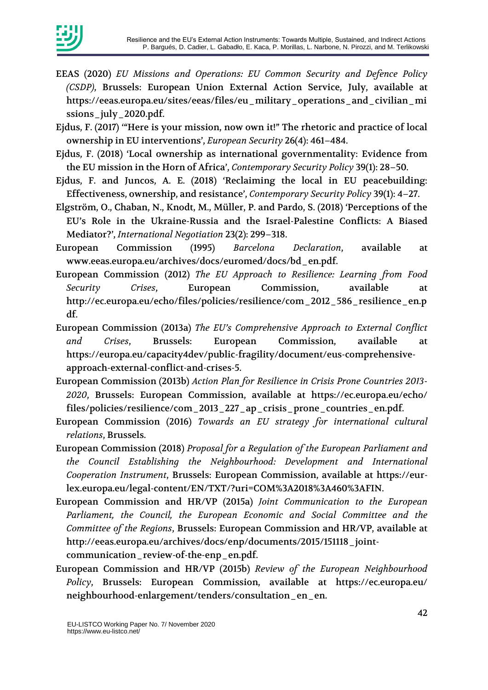

- EEAS (2020) *EU Missions and Operations: EU Common Security and Defence Policy (CSDP)*, Brussels: European Union External Action Service, July, available at https://eeas.europa.eu/sites/eeas/files/eu\_military\_operations\_and\_civilian\_mi ssions\_july\_2020.pdf.
- Ejdus, F. (2017) '"Here is your mission, now own it!" The rhetoric and practice of local ownership in EU interventions', *European Security* 26(4): 461–484.
- Ejdus, F. (2018) 'Local ownership as international governmentality: Evidence from the EU mission in the Horn of Africa', *Contemporary Security Policy* 39(1): 28–50.
- Ejdus, F. and Juncos, A. E. (2018) 'Reclaiming the local in EU peacebuilding: Effectiveness, ownership, and resistance', *Contemporary Security Policy* 39(1): 4–27.
- Elgström, O., Chaban, N., Knodt, M., Müller, P. and Pardo, S. (2018) 'Perceptions of the EU's Role in the Ukraine-Russia and the Israel-Palestine Conflicts: A Biased Mediator?', *International Negotiation* 23(2): 299–318.
- European Commission (1995) *Barcelona Declaration*, available at www.eeas.europa.eu/archives/docs/euromed/docs/bd\_en.pdf.
- European Commission (2012) *The EU Approach to Resilience: Learning from Food Security Crises*, European Commission, available at http://ec.europa.eu/echo/files/policies/resilience/com\_2012\_586\_resilience\_en.p df.
- European Commission (2013a) *The EU's Comprehensive Approach to External Conflict and Crises*, Brussels: European Commission, available at https://europa.eu/capacity4dev/public-fragility/document/eus-comprehensiveapproach-external-conflict-and-crises-5.
- European Commission (2013b) *Action Plan for Resilience in Crisis Prone Countries 2013- 2020*, Brussels: European Commission, available at https://ec.europa.eu/echo/ files/policies/resilience/com\_2013\_227\_ap\_crisis\_prone\_countries\_en.pdf.
- European Commission (2016) *Towards an EU strategy for international cultural relations*, Brussels.
- European Commission (2018) *Proposal for a Regulation of the European Parliament and the Council Establishing the Neighbourhood: Development and International Cooperation Instrument*, Brussels: European Commission, available at https://eurlex.europa.eu/legal-content/EN/TXT/?uri=COM%3A2018%3A460%3AFIN.
- European Commission and HR/VP (2015a) *Joint Communication to the European Parliament, the Council, the European Economic and Social Committee and the Committee of the Regions*, Brussels: European Commission and HR/VP, available at http://eeas.europa.eu/archives/docs/enp/documents/2015/151118\_jointcommunication\_review-of-the-enp\_en.pdf.
- European Commission and HR/VP (2015b) *Review of the European Neighbourhood Policy*, Brussels: European Commission, available at https://ec.europa.eu/ neighbourhood-enlargement/tenders/consultation\_en\_en.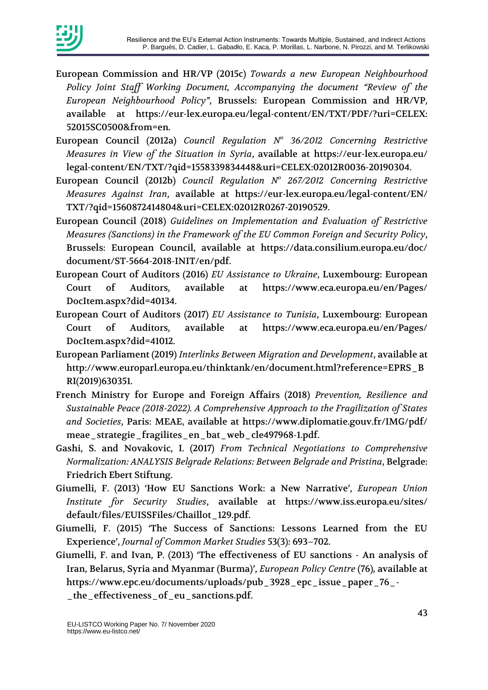

- European Commission and HR/VP (2015c) *Towards a new European Neighbourhood Policy Joint Staff Working Document, Accompanying the document "Review of the European Neighbourhood Policy"*, Brussels: European Commission and HR/VP, available at https://eur-lex.europa.eu/legal-content/EN/TXT/PDF/?uri=CELEX: 52015SC0500&from=en.
- European Council (2012a) *Council Regulation N<sup>o</sup> 36/2012 Concerning Restrictive Measures in View of the Situation in Syria*, available at https://eur-lex.europa.eu/ legal-content/EN/TXT/?qid=1558339834448&uri=CELEX:02012R0036-20190304.
- European Council (2012b) *Council Regulation N<sup>o</sup> 267/2012 Concerning Restrictive Measures Against Iran*, available at https://eur-lex.europa.eu/legal-content/EN/ TXT/?qid=1560872414804&uri=CELEX:02012R0267-20190529.
- European Council (2018) *Guidelines on Implementation and Evaluation of Restrictive Measures (Sanctions) in the Framework of the EU Common Foreign and Security Policy*, Brussels: European Council, available at https://data.consilium.europa.eu/doc/ document/ST-5664-2018-INIT/en/pdf.
- European Court of Auditors (2016) *EU Assistance to Ukraine*, Luxembourg: European Court of Auditors, available at https://www.eca.europa.eu/en/Pages/ DocItem.aspx?did=40134.
- European Court of Auditors (2017) *EU Assistance to Tunisia*, Luxembourg: European Court of Auditors, available at https://www.eca.europa.eu/en/Pages/ DocItem.aspx?did=41012.
- European Parliament (2019) *Interlinks Between Migration and Development*, available at http://www.europarl.europa.eu/thinktank/en/document.html?reference=EPRS\_B RI(2019)630351.
- French Ministry for Europe and Foreign Affairs (2018) *Prevention, Resilience and Sustainable Peace (2018-2022). A Comprehensive Approach to the Fragilization of States and Societies*, Paris: MEAE, available at https://www.diplomatie.gouv.fr/IMG/pdf/ meae\_strategie\_fragilites\_en\_bat\_web\_cle497968-1.pdf.
- Gashi, S. and Novakovic, I. (2017) *From Technical Negotiations to Comprehensive Normalization: ANALYSIS Belgrade Relations: Between Belgrade and Pristina*, Belgrade: Friedrich Ebert Stiftung.
- Giumelli, F. (2013) 'How EU Sanctions Work: a New Narrative', *European Union Institute for Security Studies*, available at https://www.iss.europa.eu/sites/ default/files/EUISSFiles/Chaillot\_129.pdf.
- Giumelli, F. (2015) 'The Success of Sanctions: Lessons Learned from the EU Experience', *Journal of Common Market Studies* 53(3): 693–702.
- Giumelli, F. and Ivan, P. (2013) 'The effectiveness of EU sanctions An analysis of Iran, Belarus, Syria and Myanmar (Burma)', *European Policy Centre* (76), available at https://www.epc.eu/documents/uploads/pub\_3928\_epc\_issue\_paper\_76\_- \_the\_effectiveness\_of\_eu\_sanctions.pdf.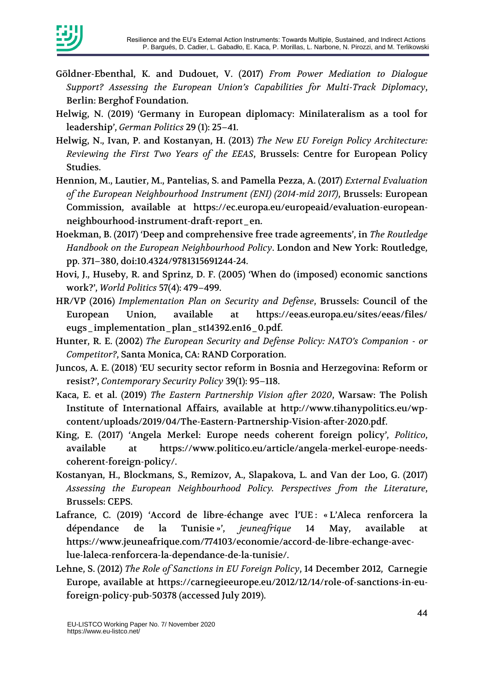

- Göldner-Ebenthal, K. and Dudouet, V. (2017) *From Power Mediation to Dialogue Support? Assessing the European Union's Capabilities for Multi-Track Diplomacy*, Berlin: Berghof Foundation.
- Helwig, N. (2019) 'Germany in European diplomacy: Minilateralism as a tool for leadership', *German Politics* 29 (1): 25–41.
- Helwig, N., Ivan, P. and Kostanyan, H. (2013) *The New EU Foreign Policy Architecture: Reviewing the First Two Years of the EEAS*, Brussels: Centre for European Policy Studies.
- Hennion, M., Lautier, M., Pantelias, S. and Pamella Pezza, A. (2017) *External Evaluation of the European Neighbourhood Instrument (ENI) (2014-mid 2017)*, Brussels: European Commission, available at https://ec.europa.eu/europeaid/evaluation-europeanneighbourhood-instrument-draft-report\_en.
- Hoekman, B. (2017) 'Deep and comprehensive free trade agreements', in *The Routledge Handbook on the European Neighbourhood Policy*. London and New York: Routledge, pp. 371–380, doi:10.4324/9781315691244-24.
- Hovi, J., Huseby, R. and Sprinz, D. F. (2005) 'When do (imposed) economic sanctions work?', *World Politics* 57(4): 479–499.
- HR/VP (2016) *Implementation Plan on Security and Defense*, Brussels: Council of the European Union, available at https://eeas.europa.eu/sites/eeas/files/ eugs\_implementation\_plan\_st14392.en16\_0.pdf.
- Hunter, R. E. (2002) *The European Security and Defense Policy: NATO's Companion - or Competitor?*, Santa Monica, CA: RAND Corporation.
- Juncos, A. E. (2018) 'EU security sector reform in Bosnia and Herzegovina: Reform or resist?', *Contemporary Security Policy* 39(1): 95–118.
- Kaca, E. et al. (2019) *The Eastern Partnership Vision after 2020*, Warsaw: The Polish Institute of International Affairs, available at http://www.tihanypolitics.eu/wpcontent/uploads/2019/04/The-Eastern-Partnership-Vision-after-2020.pdf.
- King, E. (2017) 'Angela Merkel: Europe needs coherent foreign policy', *Politico*, available at https://www.politico.eu/article/angela-merkel-europe-needscoherent-foreign-policy/.
- Kostanyan, H., Blockmans, S., Remizov, A., Slapakova, L. and Van der Loo, G. (2017) *Assessing the European Neighbourhood Policy. Perspectives from the Literature*, Brussels: CEPS.
- Lafrance, C. (2019) 'Accord de libre-échange avec l'UE : « L'Aleca renforcera la dépendance de la Tunisie »', *jeuneafrique* 14 May, available at https://www.jeuneafrique.com/774103/economie/accord-de-libre-echange-aveclue-laleca-renforcera-la-dependance-de-la-tunisie/.
- Lehne, S. (2012) *The Role of Sanctions in EU Foreign Policy*, 14 December 2012, Carnegie Europe, available at https://carnegieeurope.eu/2012/12/14/role-of-sanctions-in-euforeign-policy-pub-50378 (accessed July 2019).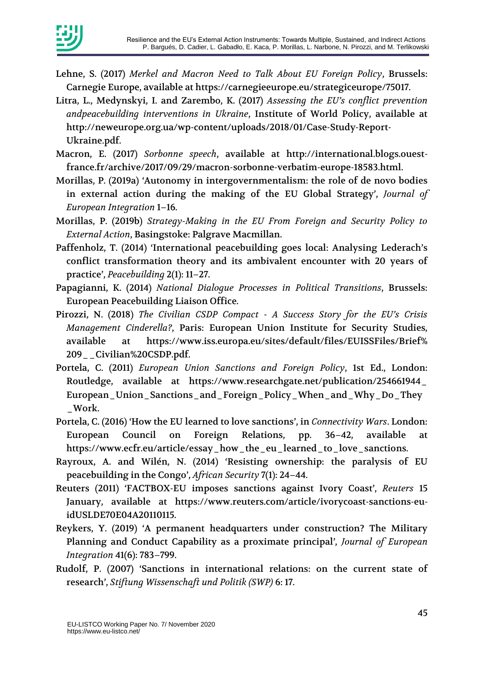

- Lehne, S. (2017) *Merkel and Macron Need to Talk About EU Foreign Policy*, Brussels: Carnegie Europe, available at https://carnegieeurope.eu/strategiceurope/75017.
- Litra, L., Medynskyi, I. and Zarembo, K. (2017) *Assessing the EU's conflict prevention andpeacebuilding interventions in Ukraine*, Institute of World Policy, available at http://neweurope.org.ua/wp-content/uploads/2018/01/Case-Study-Report-Ukraine.pdf.
- Macron, E. (2017) *Sorbonne speech*, available at http://international.blogs.ouestfrance.fr/archive/2017/09/29/macron-sorbonne-verbatim-europe-18583.html.
- Morillas, P. (2019a) 'Autonomy in intergovernmentalism: the role of de novo bodies in external action during the making of the EU Global Strategy', *Journal of European Integration* 1–16.
- Morillas, P. (2019b) *Strategy-Making in the EU From Foreign and Security Policy to External Action*, Basingstoke: Palgrave Macmillan.
- Paffenholz, T. (2014) 'International peacebuilding goes local: Analysing Lederach's conflict transformation theory and its ambivalent encounter with 20 years of practice', *Peacebuilding* 2(1): 11–27.
- Papagianni, K. (2014) *National Dialogue Processes in Political Transitions*, Brussels: European Peacebuilding Liaison Office.
- Pirozzi, N. (2018) *The Civilian CSDP Compact - A Success Story for the EU's Crisis Management Cinderella?*, Paris: European Union Institute for Security Studies, available at https://www.iss.europa.eu/sites/default/files/EUISSFiles/Brief% 209\_\_Civilian%20CSDP.pdf.
- Portela, C. (2011) *European Union Sanctions and Foreign Policy*, 1st Ed., London: Routledge, available at https://www.researchgate.net/publication/254661944\_ European\_Union\_Sanctions\_and\_Foreign\_Policy\_When\_and\_Why\_Do\_They \_Work.
- Portela, C. (2016) 'How the EU learned to love sanctions', in *Connectivity Wars*. London: European Council on Foreign Relations, pp. 36–42, available at https://www.ecfr.eu/article/essay\_how\_the\_eu\_learned\_to\_love\_sanctions.
- Rayroux, A. and Wilén, N. (2014) 'Resisting ownership: the paralysis of EU peacebuilding in the Congo', *African Security* 7(1): 24–44.
- Reuters (2011) 'FACTBOX-EU imposes sanctions against Ivory Coast', *Reuters* 15 January, available at https://www.reuters.com/article/ivorycoast-sanctions-euidUSLDE70E04A20110115.
- Reykers, Y. (2019) 'A permanent headquarters under construction? The Military Planning and Conduct Capability as a proximate principal', *Journal of European Integration* 41(6): 783–799.
- Rudolf, P. (2007) 'Sanctions in international relations: on the current state of research', *Stiftung Wissenschaft und Politik (SWP)* 6: 17.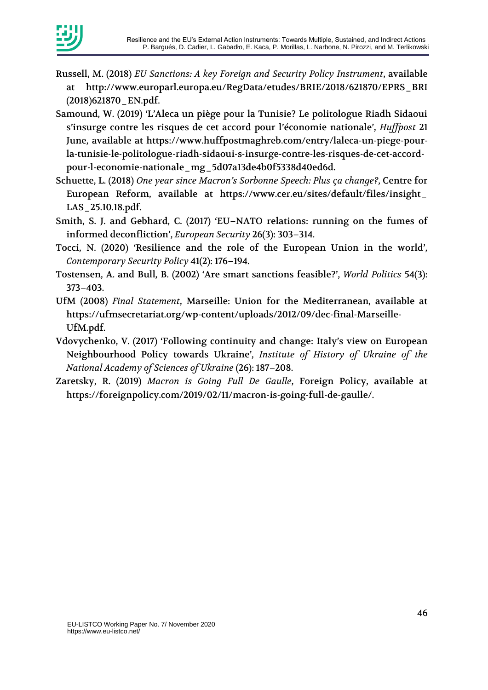

- Russell, M. (2018) *EU Sanctions: A key Foreign and Security Policy Instrument*, available http://www.europarl.europa.eu/RegData/etudes/BRIE/2018/621870/EPRS\_BRI (2018)621870\_EN.pdf.
- Samound, W. (2019) 'L'Aleca un piège pour la Tunisie? Le politologue Riadh Sidaoui s'insurge contre les risques de cet accord pour l'économie nationale', *Huffpost* 21 June, available at https://www.huffpostmaghreb.com/entry/laleca-un-piege-pourla-tunisie-le-politologue-riadh-sidaoui-s-insurge-contre-les-risques-de-cet-accordpour-l-economie-nationale\_mg\_5d07a13de4b0f5338d40ed6d.
- Schuette, L. (2018) *One year since Macron's Sorbonne Speech: Plus ça change?*, Centre for European Reform, available at https://www.cer.eu/sites/default/files/insight\_ LAS\_25.10.18.pdf.
- Smith, S. J. and Gebhard, C. (2017) 'EU–NATO relations: running on the fumes of informed deconfliction', *European Security* 26(3): 303–314.
- Tocci, N. (2020) 'Resilience and the role of the European Union in the world', *Contemporary Security Policy* 41(2): 176–194.
- Tostensen, A. and Bull, B. (2002) 'Are smart sanctions feasible?', *World Politics* 54(3): 373–403.
- UfM (2008) *Final Statement*, Marseille: Union for the Mediterranean, available at https://ufmsecretariat.org/wp-content/uploads/2012/09/dec-final-Marseille-UfM.pdf.
- Vdovychenko, V. (2017) 'Following continuity and change: Italy's view on European Neighbourhood Policy towards Ukraine', *Institute of History of Ukraine of the National Academy of Sciences of Ukraine* (26): 187–208.
- Zaretsky, R. (2019) *Macron is Going Full De Gaulle*, Foreign Policy, available at https://foreignpolicy.com/2019/02/11/macron-is-going-full-de-gaulle/.